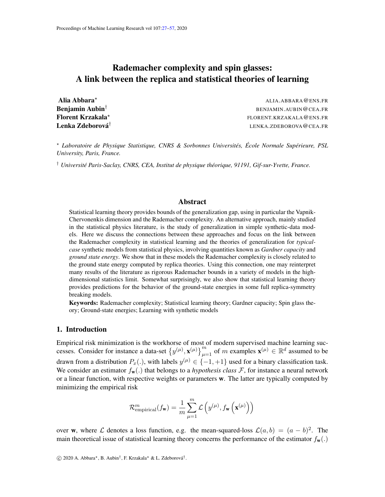# <span id="page-0-0"></span>Rademacher complexity and spin glasses: A link between the replica and statistical theories of learning

Florent Krzakala? Lenka Zdeborová<sup>†</sup>

Alia Abbara\* Alia Abbara and a strong and a strong and a strong and alia. Abbara and alia abbara and alia and a **Benjamin Aubin<sup>†</sup> BENJAMIN.AUBIN@CEA.FR** FLORENT.KRZAKALA@ENS.FR LENKA.ZDEBOROVA@CEA.FR

? *Laboratoire de Physique Statistique, CNRS & Sorbonnes Universites, ´ Ecole Normale Sup ´ erieure, PSL ´ University, Paris, France.*

† *Universite Paris-Saclay, CNRS, CEA, Institut de physique th ´ eorique, 91191, Gif-sur-Yvette, France. ´*

### Abstract

Statistical learning theory provides bounds of the generalization gap, using in particular the Vapnik-Chervonenkis dimension and the Rademacher complexity. An alternative approach, mainly studied in the statistical physics literature, is the study of generalization in simple synthetic-data models. Here we discuss the connections between these approaches and focus on the link between the Rademacher complexity in statistical learning and the theories of generalization for *typicalcase* synthetic models from statistical physics, involving quantities known as *Gardner capacity* and *ground state energy*. We show that in these models the Rademacher complexity is closely related to the ground state energy computed by replica theories. Using this connection, one may reinterpret many results of the literature as rigorous Rademacher bounds in a variety of models in the highdimensional statistics limit. Somewhat surprisingly, we also show that statistical learning theory provides predictions for the behavior of the ground-state energies in some full replica-symmetry breaking models.

Keywords: Rademacher complexity; Statistical learning theory; Gardner capacity; Spin glass theory; Ground-state energies; Learning with synthetic models

# 1. Introduction

Empirical risk minimization is the workhorse of most of modern supervised machine learning successes. Consider for instance a data-set  $\{y^{(\mu)}, \mathbf{x}^{(\mu)}\}_{\mu=1}^m$  of m examples  $\mathbf{x}^{(\mu)} \in \mathbb{R}^d$  assumed to be drawn from a distribution  $P_x(.)$ , with labels  $y^{(\mu)} \in \{-1, +1\}$  used for a binary classification task. We consider an estimator  $f_{\bf w}$ .) that belongs to a *hypothesis class*  $\mathcal F$ , for instance a neural network or a linear function, with respective weights or parameters w. The latter are typically computed by minimizing the empirical risk

<span id="page-0-1"></span>
$$
\mathcal{R}_{\mathrm{empirical}}^m(f_{\mathbf{w}}) = \frac{1}{m}\sum_{\mu=1}^m \mathcal{L}\left(y^{(\mu)}, f_{\mathbf{w}}\left(\mathbf{x}^{(\mu)}\right)\right)
$$

over w, where  $\mathcal L$  denotes a loss function, e.g. the mean-squared-loss  $\mathcal L(a, b) = (a - b)^2$ . The main theoretical issue of statistical learning theory concerns the performance of the estimator  $f_{\mathbf{w}}(.)$ 

 $\odot$  2020 A. Abbara\*, B. Aubin<sup>†</sup>, F. Krzakala\* & L. Zdeborová<sup>†</sup>.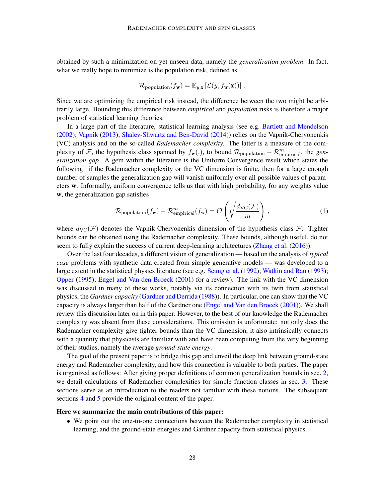obtained by such a minimization on yet unseen data, namely the *generalization problem*. In fact, what we really hope to minimize is the population risk, defined as

$$
\mathcal{R}_{\text{population}}(f_{\mathbf{w}}) = \mathbb{E}_{y, \mathbf{x}} \left[ \mathcal{L}(y, f_{\mathbf{w}}(\mathbf{x})) \right].
$$

Since we are optimizing the empirical risk instead, the difference between the two might be arbitrarily large. Bounding this difference between *empirical* and *population* risks is therefore a major problem of statistical learning theories.

In a large part of the literature, statistical learning analysis (see e.g. [Bartlett and Mendelson](#page-16-0) [\(2002\)](#page-16-0); [Vapnik](#page-18-0) [\(2013\)](#page-18-0); [Shalev-Shwartz and Ben-David](#page-18-1) [\(2014\)](#page-18-1)) relies on the Vapnik-Chervonenkis (VC) analysis and on the so-called *Rademacher complexity*. The latter is a measure of the complexity of F, the hypothesis class spanned by  $f_{\bf w}$ (.), to bound  $\mathcal{R}_{\text{population}} - \mathcal{R}_{\text{empirical}}^m$ , the *generalization gap*. A gem within the literature is the Uniform Convergence result which states the following: if the Rademacher complexity or the VC dimension is finite, then for a large enough number of samples the generalization gap will vanish uniformly over all possible values of parameters w. Informally, uniform convergence tells us that with high probability, for any weights value w, the generalization gap satisfies

$$
\mathcal{R}_{\text{population}}(f_{\mathbf{w}}) - \mathcal{R}_{\text{empirical}}^m(f_{\mathbf{w}}) = \mathcal{O}\left(\sqrt{\frac{d_{\text{VC}}(\mathcal{F})}{m}}\right),\tag{1}
$$

where  $d_{\text{VC}}(\mathcal{F})$  denotes the Vapnik-Chervonenkis dimension of the hypothesis class  $\mathcal{F}$ . Tighter bounds can be obtained using the Rademacher complexity. These bounds, although useful, do not seem to fully explain the success of current deep-learning architectures [\(Zhang et al.](#page-18-2) [\(2016\)](#page-18-2)).

Over the last four decades, a different vision of generalization — based on the analysis of *typical case* problems with synthetic data created from simple generative models — was developed to a large extent in the statistical physics literature (see e.g. [Seung et al.](#page-18-3) [\(1992\)](#page-18-3); [Watkin and Rau](#page-18-4) [\(1993\)](#page-18-4); [Opper](#page-17-0) [\(1995\)](#page-17-0); [Engel and Van den Broeck](#page-16-1) [\(2001\)](#page-16-1) for a review). The link with the VC dimension was discussed in many of these works, notably via its connection with its twin from statistical physics, the *Gardner capacity* [\(Gardner and Derrida](#page-16-2) [\(1988\)](#page-16-2)). In particular, one can show that the VC capacity is always larger than half of the Gardner one [\(Engel and Van den Broeck](#page-16-1) [\(2001\)](#page-16-1)). We shall review this discussion later on in this paper. However, to the best of our knowledge the Rademacher complexity was absent from these considerations. This omission is unfortunate: not only does the Rademacher complexity give tighter bounds than the VC dimension, it also intrinsically connects with a quantity that physicists are familiar with and have been computing from the very beginning of their studies, namely the average *ground-state energy*.

The goal of the present paper is to bridge this gap and unveil the deep link between ground-state energy and Rademacher complexity, and how this connection is valuable to both parties. The paper is organized as follows: After giving proper definitions of common generalization bounds in sec. [2,](#page-2-0) we detail calculations of Rademacher complexities for simple function classes in sec. [3.](#page-3-0) These sections serve as an introduction to the readers not familiar with these notions. The subsequent sections [4](#page-5-0) and [5](#page-7-0) provide the original content of the paper.

#### Here we summarize the main contributions of this paper:

• We point out the one-to-one connections between the Rademacher complexity in statistical learning, and the ground-state energies and Gardner capacity from statistical physics.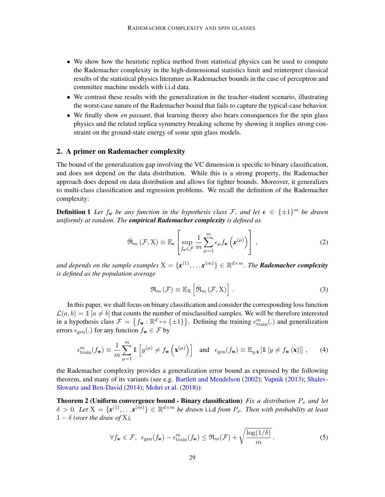- We show how the heuristic replica method from statistical physics can be used to compute the Rademacher complexity in the high-dimensional statistics limit and reinterpret classical results of the statistical physics literature as Rademacher bounds in the case of perceptron and committee machine models with i.i.d data.
- We contrast these results with the generalization in the teacher-student scenario, illustrating the worst-case nature of the Rademacher bound that fails to capture the typical-case behavior.
- We finally show *en passant*, that learning theory also bears consequences for the spin glass physics and the related replica symmetry breaking scheme by showing it implies strong constraint on the ground-state energy of some spin glass models.

# <span id="page-2-0"></span>2. A primer on Rademacher complexity

The bound of the generalization gap involving the VC dimension is specific to binary classification, and does not depend on the data distribution. While this is a strong property, the Rademacher approach does depend on data distribution and allows for tighter bounds. Moreover, it generalizes to multi-class classification and regression problems. We recall the definition of the Rademacher complexity:

**Definition 1** Let  $f_w$  be any function in the hypothesis class F, and let  $\epsilon \in {\pm 1}^m$  be drawn *uniformly at random. The empirical Rademacher complexity is defined as*

$$
\hat{\mathfrak{R}}_{m}\left(\mathcal{F},\mathbf{X}\right)\equiv\mathbb{E}_{\epsilon}\left[\sup_{f_{\mathbf{w}}\in\mathcal{F}}\frac{1}{m}\sum_{\mu=1}^{m}\epsilon_{\mu}f_{\mathbf{w}}\left(\mathbf{x}^{(\mu)}\right)\right],\tag{2}
$$

and depends on the sample examples  $X = \{x^{(1)}, \ldots x^{(m)}\} \in \mathbb{R}^{d \times m}$ . The **Rademacher complexity** *is defined as the population average*

<span id="page-2-1"></span>
$$
\mathfrak{R}_{m}\left(\mathcal{F}\right)\equiv\mathbb{E}_{X}\left[\hat{\mathfrak{R}}_{m}\left(\mathcal{F},X\right)\right].\tag{3}
$$

In this paper, we shall focus on binary classification and consider the corresponding loss function  $\mathcal{L}(a, b) = \mathbb{1} \left[ a \neq b \right]$  that counts the number of misclassified samples. We will be therefore interested in a hypothesis class  $\mathcal{F} = \{f_w : \mathbb{R}^d \mapsto \{\pm 1\}\}\.$  Defining the training  $\epsilon_{\text{train}}^m(.)$  and generalization errors  $\epsilon_{gen}(.)$  for any function  $f_{\mathbf{w}} \in \mathcal{F}$  by

$$
\epsilon_{\text{train}}^m(f_{\mathbf{w}}) \equiv \frac{1}{m} \sum_{\mu=1}^m \mathbb{1} \left[ y^{(\mu)} \neq f_{\mathbf{w}} \left( \mathbf{x}^{(\mu)} \right) \right] \quad \text{and} \quad \epsilon_{\text{gen}}(f_{\mathbf{w}}) \equiv \mathbb{E}_{y, \mathbf{x}} \left[ \mathbb{1} \left[ y \neq f_{\mathbf{w}} \left( \mathbf{x} \right) \right] \right], \tag{4}
$$

the Rademacher complexity provides a generalization error bound as expressed by the following theorem, and many of its variants (see e.g. [Bartlett and Mendelson](#page-16-0) [\(2002\)](#page-16-0); [Vapnik](#page-18-0) [\(2013\)](#page-18-0); [Shalev-](#page-18-1)[Shwartz and Ben-David](#page-18-1) [\(2014\)](#page-18-1); [Mohri et al.](#page-17-1) [\(2018\)](#page-17-1)):

**Theorem 2 (Uniform convergence bound - Binary classification)** *Fix a distribution*  $P_x$  *and let*  $\delta > 0$ . Let  $X = \{x^{(1)}, \ldots x^{(m)}\} \in \mathbb{R}^{d \times m}$  be drawn i.i.d from  $P_x$ . Then with probability at least  $1 - \delta$  *(over the draw of X)*,

<span id="page-2-2"></span>
$$
\forall f_{\mathbf{w}} \in \mathcal{F}, \ \ \epsilon_{\text{gen}}(f_{\mathbf{w}}) - \epsilon_{\text{train}}^m(f_{\mathbf{w}}) \leq \Re_m(\mathcal{F}) + \sqrt{\frac{\log(1/\delta)}{m}}. \tag{5}
$$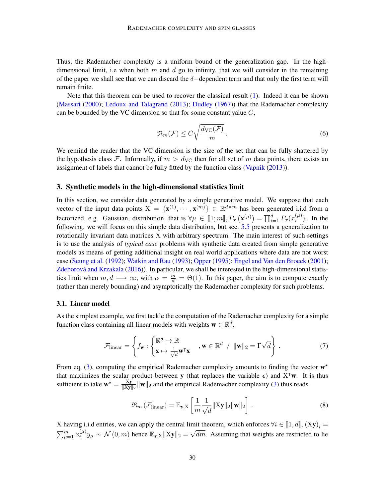Thus, the Rademacher complexity is a uniform bound of the generalization gap. In the highdimensional limit, i.e when both m and d go to infinity, that we will consider in the remaining of the paper we shall see that we can discard the  $\delta$ -dependent term and that only the first term will remain finite.

Note that this theorem can be used to recover the classical result [\(1\)](#page-0-1). Indeed it can be shown [\(Massart](#page-17-2) [\(2000\)](#page-17-2); [Ledoux and Talagrand](#page-17-3) [\(2013\)](#page-17-3); [Dudley](#page-16-3) [\(1967\)](#page-16-3)) that the Rademacher complexity can be bounded by the VC dimension so that for some constant value  $C$ ,

$$
\Re_m(\mathcal{F}) \le C \sqrt{\frac{d_{\text{VC}}(\mathcal{F})}{m}}.
$$
\n(6)

We remind the reader that the VC dimension is the size of the set that can be fully shattered by the hypothesis class F. Informally, if  $m > d_{\text{VC}}$  then for all set of m data points, there exists an assignment of labels that cannot be fully fitted by the function class [\(Vapnik](#page-18-0) [\(2013\)](#page-18-0)).

### <span id="page-3-0"></span>3. Synthetic models in the high-dimensional statistics limit

In this section, we consider data generated by a simple generative model. We suppose that each vector of the input data points  $X = \{x^{(1)}, \dots, x^{(m)}\} \in \mathbb{R}^{d \times m}$  has been generated i.i.d from a factorized, e.g. Gaussian, distribution, that is  $\forall \mu \in [1; m], P_x(\mathbf{x}^{(\mu)}) = \prod_{i=1}^d P_x(x_i^{(\mu)})$  $i^{(\mu)}$ ). In the following, we will focus on this simple data distribution, but sec. [5.5](#page-13-0) presents a generalization to rotationally invariant data matrices X with arbitrary spectrum. The main interest of such settings is to use the analysis of *typical case* problems with synthetic data created from simple generative models as means of getting additional insight on real world applications where data are not worst case [\(Seung et al.](#page-18-3) [\(1992\)](#page-18-3); [Watkin and Rau](#page-18-4) [\(1993\)](#page-18-4); [Opper](#page-17-0) [\(1995\)](#page-17-0); [Engel and Van den Broeck](#page-16-1) [\(2001\)](#page-16-1); Zdeborová and Krzakala [\(2016\)](#page-18-5)). In particular, we shall be interested in the high-dimensional statistics limit when  $m, d \longrightarrow \infty$ , with  $\alpha = \frac{m}{d} = \Theta(1)$ . In this paper, the aim is to compute exactly (rather than merely bounding) and asymptotically the Rademacher complexity for such problems.

### 3.1. Linear model

As the simplest example, we first tackle the computation of the Rademacher complexity for a simple function class containing all linear models with weights  $\mathbf{w} \in \mathbb{R}^d$ ,

$$
\mathcal{F}_{\text{linear}} = \left\{ f_{\mathbf{w}} : \begin{cases} \mathbb{R}^d \mapsto \mathbb{R} \\ \mathbf{x} \mapsto \frac{1}{\sqrt{d}} \mathbf{w}^\mathsf{T} \mathbf{x} \end{cases}, \mathbf{w} \in \mathbb{R}^d \ / \ \|\mathbf{w}\|_2 = \Gamma \sqrt{d} \right\} \ . \tag{7}
$$

From eq. [\(3\)](#page-2-1), computing the empirical Rademacher complexity amounts to finding the vector  $w^*$ that maximizes the scalar product between y (that replaces the variable  $\epsilon$ ) and X<sup>T</sup>w. It is thus sufficient to take  $\mathbf{w}^* = \frac{\mathbf{X}\mathbf{y}}{\mathbf{X}\mathbf{X}\mathbf{y}}$  $\frac{xy}{\|X\|_{2}}\|\mathbf{w}\|_{2}$  and the empirical Rademacher complexity [\(3\)](#page-2-1) thus reads

$$
\mathfrak{R}_{m} \left( \mathcal{F}_{\text{linear}} \right) = \mathbb{E}_{\mathbf{y}, \mathbf{X}} \left[ \frac{1}{m} \frac{1}{\sqrt{d}} ||\mathbf{X} \mathbf{y}||_{2} ||\mathbf{w}||_{2} \right]. \tag{8}
$$

X having i.i.d entries, we can apply the central limit theorem, which enforces  $\forall i \in [1, d]$ ,  $(Xy)_i = \sum_{k=1}^{m} (u)$  $\sum_{\mu=1}^{m} x_i^{(\mu)}$  $\widetilde{\psi}_i^{(\mu)} y_{\mu} \sim \mathcal{N}(0, m)$  hence  $\mathbb{E}_{\mathbf{y},X} ||X\mathbf{y}||_2 = \sqrt{dm}$ . Assuming that weights are restricted to lie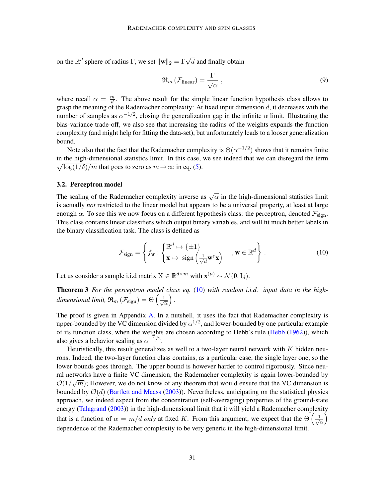on the  $\mathbb{R}^d$  sphere of radius  $\Gamma$ , we set  $\|\mathbf{w}\|_2 = \Gamma \sqrt{d}$  and finally obtain

$$
\mathfrak{R}_m\left(\mathcal{F}_{\text{linear}}\right) = \frac{\Gamma}{\sqrt{\alpha}} \tag{9}
$$

where recall  $\alpha = \frac{m}{d}$  $\frac{m}{d}$ . The above result for the simple linear function hypothesis class allows to grasp the meaning of the Rademacher complexity: At fixed input dimension  $d$ , it decreases with the number of samples as  $\alpha^{-1/2}$ , closing the generalization gap in the infinite  $\alpha$  limit. Illustrating the bias-variance trade-off, we also see that increasing the radius of the weights expands the function complexity (and might help for fitting the data-set), but unfortunately leads to a looser generalization bound.

Note also that the fact that the Rademacher complexity is  $\Theta(\alpha^{-1/2})$  shows that it remains finite in the high-dimensional statistics limit. In this case, we see indeed that we can disregard the term  $\sqrt{\log(1/\delta)/m}$  that goes to zero as  $m \to \infty$  in eq. [\(5\)](#page-2-2).

#### 3.2. Perceptron model

The scaling of the Rademacher complexity inverse as  $\sqrt{\alpha}$  in the high-dimensional statistics limit is actually *not* restricted to the linear model but appears to be a universal property, at least at large enough  $\alpha$ . To see this we now focus on a different hypothesis class: the perceptron, denoted  $\mathcal{F}_{\text{sign}}$ . This class contains linear classifiers which output binary variables, and will fit much better labels in the binary classification task. The class is defined as

<span id="page-4-0"></span>
$$
\mathcal{F}_{\text{sign}} = \left\{ f_{\mathbf{w}} : \begin{cases} \mathbb{R}^d \mapsto {\{\pm 1\}} \\ \mathbf{x} \mapsto \text{ sign} \left( \frac{1}{\sqrt{d}} \mathbf{w}^\mathsf{T} \mathbf{x} \right) \end{cases}, \mathbf{w} \in \mathbb{R}^d \right\}.
$$
 (10)

Let us consider a sample i.i.d matrix  $X \in \mathbb{R}^{d \times m}$  with  $\mathbf{x}^{(\mu)} \sim \mathcal{N}(\mathbf{0}, I_d)$ .

Theorem 3 *For the perceptron model class eq.* [\(10\)](#page-4-0) *with random i.i.d. input data in the highdimensional limit,*  $\Re_m (\mathcal{F}_{sign}) = \Theta \left( \frac{1}{\sqrt{2\pi}} \right)$ α *.*

The proof is given in Appendix [A.](#page-19-0) In a nutshell, it uses the fact that Rademacher complexity is upper-bounded by the VC dimension divided by  $\alpha^{1/2}$ , and lower-bounded by one particular example of its function class, when the weights are chosen according to Hebb's rule [\(Hebb](#page-16-4) [\(1962\)](#page-16-4)), which also gives a behavior scaling as  $\alpha^{-1/2}$ .

Heuristically, this result generalizes as well to a two-layer neural network with  $K$  hidden neurons. Indeed, the two-layer function class contains, as a particular case, the single layer one, so the lower bounds goes through. The upper bound is however harder to control rigorously. Since neural networks have a finite VC dimension, the Rademacher complexity is again lower-bounded by  $\mathcal{O}(1/\sqrt{m})$ ; However, we do not know of any theorem that would ensure that the VC dimension is bounded by  $\mathcal{O}(d)$  [\(Bartlett and Maass](#page-16-5) [\(2003\)](#page-16-5)). Nevertheless, anticipating on the statistical physics approach, we indeed expect from the concentration (self-averaging) properties of the ground-state energy [\(Talagrand](#page-18-6) [\(2003\)](#page-18-6)) in the high-dimensional limit that it will yield a Rademacher complexity that is a function of  $\alpha = m/d$  *only* at fixed K. From this argument, we expect that the  $\Theta\left(\frac{1}{\sqrt{d}}\right)$ α İ dependence of the Rademacher complexity to be very generic in the high-dimensional limit.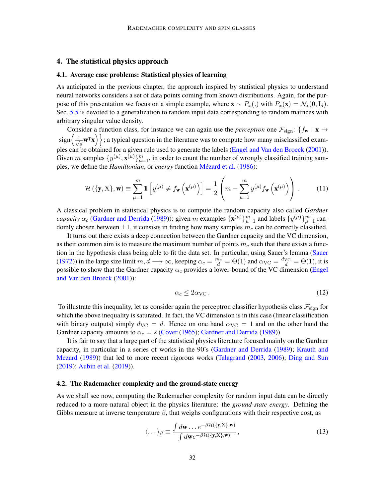# <span id="page-5-0"></span>4. The statistical physics approach

### 4.1. Average case problems: Statistical physics of learning

As anticipated in the previous chapter, the approach inspired by statistical physics to understand neural networks considers a set of data points coming from known distributions. Again, for the purpose of this presentation we focus on a simple example, where  $\mathbf{x} \sim P_x(.)$  with  $P_x(\mathbf{x}) = \mathcal{N}_x(\mathbf{0},I_d)$ . Sec. [5.5](#page-13-0) is devoted to a generalization to random input data corresponding to random matrices with arbitrary singular value density.

Consider a function class, for instance we can again use the *perceptron* one  $\mathcal{F}_{sign}$ : { $f_{\bf w}$  :  ${\bf x} \rightarrow$  $sign(\frac{1}{2})$  $\left\{\frac{1}{d} \mathbf{w}^{\mathsf{T}} \mathbf{x}\right\}$ ; a typical question in the literature was to compute how many misclassified exam-ples can be obtained for a given rule used to generate the labels [\(Engel and Van den Broeck](#page-16-1) [\(2001\)](#page-16-1)). Given m samples  $\{y^{(\mu)}, \mathbf{x}^{(\mu)}\}_{\mu=1}^m$ , in order to count the number of wrongly classified training samples, we define the *Hamiltonian*, or *energy* function Mézard et al. [\(1986\)](#page-17-4):

$$
\mathcal{H}\left(\{\mathbf{y}, \mathbf{X}\}, \mathbf{w}\right) \equiv \sum_{\mu=1}^{m} \mathbb{1}\left[y^{(\mu)} \neq f_{\mathbf{w}}\left(\mathbf{x}^{(\mu)}\right)\right] = \frac{1}{2}\left(m - \sum_{\mu=1}^{m} y^{(\mu)} f_{\mathbf{w}}\left(\mathbf{x}^{(\mu)}\right)\right).
$$
 (11)

A classical problem in statistical physics is to compute the random capacity also called *Gardner capacity*  $\alpha_c$  [\(Gardner and Derrida](#page-16-6) [\(1989\)](#page-16-6)): given m examples  $\{x^{(\mu)}\}_{\mu=1}^m$  and labels  $\{y^{(\mu)}\}_{\mu=1}^m$  randomly chosen between  $\pm 1$ , it consists in finding how many samples  $m_c$  can be correctly classified.

It turns out there exists a deep connection between the Gardner capacity and the VC dimension, as their common aim is to measure the maximum number of points  $m<sub>c</sub>$  such that there exists a function in the hypothesis class being able to fit the data set. In particular, using Sauer's lemma [\(Sauer](#page-18-7) [\(1972\)](#page-18-7)) in the large size limit  $m, d \longrightarrow \infty$ , keeping  $\alpha_c = \frac{m_c}{d} = \Theta(1)$  and  $\alpha_{\text{VC}} = \frac{d_{\text{VC}}}{d} = \Theta(1)$ , it is possible to show that the Gardner capacity  $\alpha_c$  provides a lower-bound of the VC dimension [\(Engel](#page-16-1) [and Van den Broeck](#page-16-1) [\(2001\)](#page-16-1)):

<span id="page-5-1"></span>
$$
\alpha_c \le 2\alpha_{\text{VC}}\,. \tag{12}
$$

To illustrate this inequality, let us consider again the perceptron classifier hypothesis class  $\mathcal{F}_{\text{sign}}$  for which the above inequality is saturated. In fact, the VC dimension is in this case (linear classification with binary outputs) simply  $d_{\text{VC}} = d$ . Hence on one hand  $\alpha_{\text{VC}} = 1$  and on the other hand the Gardner capacity amounts to  $\alpha_c = 2$  [\(Cover](#page-16-7) [\(1965\)](#page-16-7); [Gardner and Derrida](#page-16-6) [\(1989\)](#page-16-6)).

It is fair to say that a large part of the statistical physics literature focused mainly on the Gardner capacity, in particular in a series of works in the 90's [\(Gardner and Derrida](#page-16-6) [\(1989\)](#page-16-6); [Krauth and](#page-17-5) [Mezard](#page-17-5) [\(1989\)](#page-17-5)) that led to more recent rigorous works [\(Talagrand](#page-18-6) [\(2003,](#page-18-6) [2006\)](#page-18-8); [Ding and Sun](#page-16-8) [\(2019\)](#page-16-8); [Aubin et al.](#page-15-0) [\(2019\)](#page-15-0)).

#### 4.2. The Rademacher complexity and the ground-state energy

As we shall see now, computing the Rademacher complexity for random input data can be directly reduced to a more natural object in the physics literature: the *ground-state energy*. Defining the Gibbs measure at inverse temperature  $\beta$ , that weighs configurations with their respective cost, as

$$
\langle \dots \rangle_{\beta} \equiv \frac{\int d\mathbf{w} \dots e^{-\beta \mathcal{H}(\{\mathbf{y}, \mathbf{X}\}, \mathbf{w})}}{\int d\mathbf{w} e^{-\beta \mathcal{H}(\{\mathbf{y}, \mathbf{X}\}, \mathbf{w})}},
$$
(13)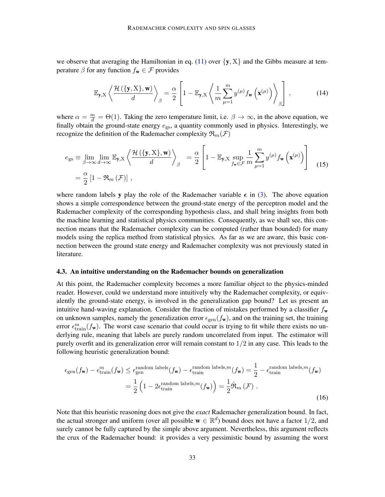we observe that averaging the Hamiltonian in eq. [\(11\)](#page-5-1) over  $\{y, X\}$  and the Gibbs measure at temperature  $\beta$  for any function  $f_w \in \mathcal{F}$  provides

<span id="page-6-0"></span>
$$
\mathbb{E}_{\mathbf{y}, \mathbf{X}} \left\langle \frac{\mathcal{H} \left( \{ \mathbf{y}, \mathbf{X} \}, \mathbf{w} \right)}{d} \right\rangle_{\beta} = \frac{\alpha}{2} \left[ 1 - \mathbb{E}_{\mathbf{y}, \mathbf{X}} \left\langle \frac{1}{m} \sum_{\mu=1}^{m} y^{(\mu)} f_{\mathbf{w}} \left( \mathbf{x}^{(\mu)} \right) \right\rangle_{\beta} \right], \tag{14}
$$

where  $\alpha = \frac{m}{d} = \Theta(1)$ . Taking the zero temperature limit, i.e.  $\beta \to \infty$ , in the above equation, we finally obtain the ground-state energy  $e_{gs}$ , a quantity commonly used in physics. Interestingly, we recognize the definition of the Rademacher complexity  $\mathfrak{R}_{m}(\mathcal{F})$ 

$$
e_{\text{gs}} \equiv \lim_{\beta \to \infty} \lim_{d \to \infty} \mathbb{E}_{\mathbf{y}, \mathbf{X}} \left\langle \frac{\mathcal{H}(\{\mathbf{y}, \mathbf{X}\}, \mathbf{w})}{d} \right\rangle_{\beta} = \frac{\alpha}{2} \left[ 1 - \mathbb{E}_{\mathbf{y}, \mathbf{X}} \sup_{f_{\mathbf{w}} \in \mathcal{F}} \frac{1}{m} \sum_{\mu=1}^{m} y^{(\mu)} f_{\mathbf{w}} \left( \mathbf{x}^{(\mu)} \right) \right]
$$
(15)

where random labels y play the role of the Rademacher variable  $\epsilon$  in [\(3\)](#page-2-1). The above equation shows a simple correspondence between the ground-state energy of the perceptron model and the Rademacher complexity of the corresponding hypothesis class, and shall bring insights from both the machine learning and statistical physics communities. Consequently, as we shall see, this connection means that the Rademacher complexity can be computed (rather than bounded) for many models using the replica method from statistical physics. As far as we are aware, this basic connection between the ground state energy and Rademacher complexity was not previously stated in literature.

#### 4.3. An intuitive understanding on the Rademacher bounds on generalization

At this point, the Rademacher complexity becomes a more familiar object to the physics-minded reader. However, could we understand more intuitively why the Rademacher complexity, or equivalently the ground-state energy, is involved in the generalization gap bound? Let us present an intuitive hand-waving explanation. Consider the fraction of mistakes performed by a classifier  $f_w$ on unknown samples, namely the generalization error  $\epsilon_{gen}(f_w)$ , and on the training set, the training error  $\epsilon_{\text{train}}^m(f_w)$ . The worst case scenario that could occur is trying to fit while there exists no underlying rule, meaning that labels are purely random uncorrelated from input. The estimator will purely overfit and its generalization error will remain constant to  $1/2$  in any case. This leads to the following heuristic generalization bound:

$$
\epsilon_{\text{gen}}(f_{\mathbf{w}}) - \epsilon_{\text{train}}^m(f_{\mathbf{w}}) \le \epsilon_{\text{gen}}^{\text{random labels}}(f_{\mathbf{w}}) - \epsilon_{\text{train}}^{\text{random labels},m}(f_{\mathbf{w}}) = \frac{1}{2} - \epsilon_{\text{train}}^{\text{random labels},m}(f_{\mathbf{w}})
$$

$$
= \frac{1}{2} \left( 1 - 2\epsilon_{\text{train}}^{\text{random labels},m}(f_{\mathbf{w}}) \right) = \frac{1}{2} \hat{\mathfrak{R}}_m(\mathcal{F}) .
$$
(16)

Note that this heuristic reasoning does not give the *exact* Rademacher generalization bound. In fact, the actual stronger and uniform (over all possible  $w \in \mathbb{R}^d$ ) bound does not have a factor 1/2, and surely cannot be fully captured by the simple above argument. Nevertheless, this argument reflects the crux of the Rademacher bound: it provides a very pessimistic bound by assuming the worst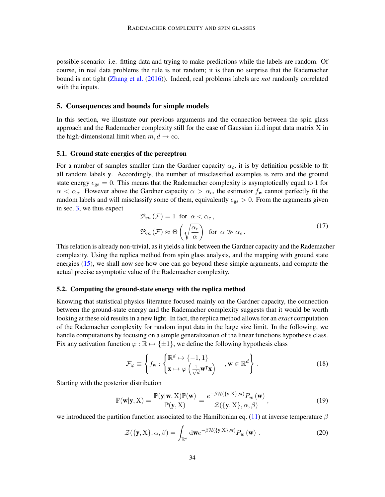possible scenario: i.e. fitting data and trying to make predictions while the labels are random. Of course, in real data problems the rule is not random; it is then no surprise that the Rademacher bound is not tight [\(Zhang et al.](#page-18-2) [\(2016\)](#page-18-2)). Indeed, real problems labels are *not* randomly correlated with the inputs.

### <span id="page-7-0"></span>5. Consequences and bounds for simple models

In this section, we illustrate our previous arguments and the connection between the spin glass approach and the Rademacher complexity still for the case of Gaussian i.i.d input data matrix X in the high-dimensional limit when  $m, d \rightarrow \infty$ .

#### <span id="page-7-1"></span>5.1. Ground state energies of the perceptron

For a number of samples smaller than the Gardner capacity  $\alpha_c$ , it is by definition possible to fit all random labels y. Accordingly, the number of misclassified examples is zero and the ground state energy  $e_{gs} = 0$ . This means that the Rademacher complexity is asymptotically equal to 1 for  $\alpha < \alpha_c$ . However above the Gardner capacity  $\alpha > \alpha_c$ , the estimator  $f_w$  cannot perfectly fit the random labels and will misclassify some of them, equivalently  $e_{gs} > 0$ . From the arguments given in sec. [3,](#page-3-0) we thus expect

$$
\mathfrak{R}_{m}(\mathcal{F}) = 1 \text{ for } \alpha < \alpha_{c},
$$
  

$$
\mathfrak{R}_{m}(\mathcal{F}) \approx \Theta\left(\sqrt{\frac{\alpha_{c}}{\alpha}}\right) \text{ for } \alpha \gg \alpha_{c}.
$$
 (17)

This relation is already non-trivial, as it yields a link between the Gardner capacity and the Rademacher complexity. Using the replica method from spin glass analysis, and the mapping with ground state energies [\(15\)](#page-6-0), we shall now see how one can go beyond these simple arguments, and compute the actual precise asymptotic value of the Rademacher complexity.

# 5.2. Computing the ground-state energy with the replica method

Knowing that statistical physics literature focused mainly on the Gardner capacity, the connection between the ground-state energy and the Rademacher complexity suggests that it would be worth looking at these old results in a new light. In fact, the replica method allows for an *exact* computation of the Rademacher complexity for random input data in the large size limit. In the following, we handle computations by focusing on a simple generalization of the linear functions hypothesis class. Fix any activation function  $\varphi : \mathbb{R} \to \{\pm 1\}$ , we define the following hypothesis class

<span id="page-7-2"></span>
$$
\mathcal{F}_{\varphi} \equiv \left\{ f_{\mathbf{w}} : \begin{cases} \mathbb{R}^d \mapsto \{-1, 1\} \\ \mathbf{x} \mapsto \varphi \left( \frac{1}{\sqrt{d}} \mathbf{w}^\mathsf{T} \mathbf{x} \right) \end{cases}, \mathbf{w} \in \mathbb{R}^d \right\} . \tag{18}
$$

Starting with the posterior distribution

$$
\mathbb{P}(\mathbf{w}|\mathbf{y}, \mathbf{X}) = \frac{\mathbb{P}(\mathbf{y}|\mathbf{w}, \mathbf{X}) \mathbb{P}(\mathbf{w})}{\mathbb{P}(\mathbf{y}, \mathbf{X})} = \frac{e^{-\beta \mathcal{H}(\{\mathbf{y}, \mathbf{X}\}, \mathbf{w})} P_w(\mathbf{w})}{\mathcal{Z}(\{\mathbf{y}, \mathbf{X}\}, \alpha, \beta)},
$$
(19)

we introduced the partition function associated to the Hamiltonian eq. [\(11\)](#page-5-1) at inverse temperature  $\beta$ 

<span id="page-7-3"></span>
$$
\mathcal{Z}(\{\mathbf{y}, \mathbf{X}\}, \alpha, \beta) = \int_{\mathbb{R}^d} \mathrm{d}\mathbf{w} e^{-\beta \mathcal{H}(\{\mathbf{y}, \mathbf{X}\}, \mathbf{w})} P_w(\mathbf{w}) \ . \tag{20}
$$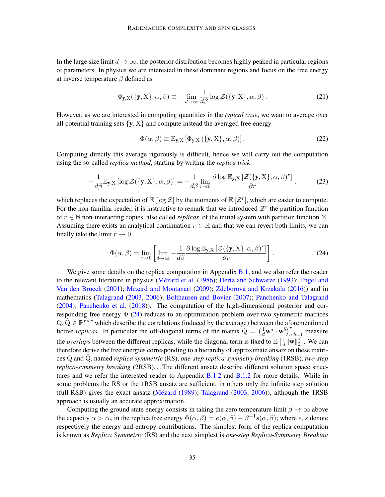In the large size limit  $d \to \infty$ , the posterior distribution becomes highly peaked in particular regions of parameters. In physics we are interested in these dominant regions and focus on the free energy at inverse temperature  $\beta$  defined as

$$
\Phi_{\mathbf{y},X}(\{\mathbf{y},X\},\alpha,\beta) \equiv -\lim_{d \to \infty} \frac{1}{d\beta} \log \mathcal{Z}(\{\mathbf{y},X\},\alpha,\beta). \tag{21}
$$

However, as we are interested in computing quantities in the *typical case*, we want to average over all potential training sets  $\{y, X\}$  and compute instead the averaged free energy

<span id="page-8-1"></span>
$$
\Phi(\alpha, \beta) \equiv \mathbb{E}_{\mathbf{y}, X} \left[ \Phi_{\mathbf{y}, X} \left( \{ \mathbf{y}, X \}, \alpha, \beta \right) \right]. \tag{22}
$$

Computing directly this average rigorously is difficult, hence we will carry out the computation using the so-called *replica method*, starting by writing the *replica trick*

$$
-\frac{1}{d\beta}\mathbb{E}_{\mathbf{y},X}\left[\log\mathcal{Z}(\{\mathbf{y},X\},\alpha,\beta)\right] = -\frac{1}{d\beta}\lim_{r\to 0}\frac{\partial\log\mathbb{E}_{\mathbf{y},X}\left[\mathcal{Z}(\{\mathbf{y},X\},\alpha,\beta)^{r}\right]}{\partial r},\tag{23}
$$

which replaces the expectation of  $\mathbb{E}[\log \mathcal{Z}]$  by the moments of  $\mathbb{E}[\mathcal{Z}^r]$ , which are easier to compute. For the non-familiar reader, it is instructive to remark that we introduced  $\mathcal{Z}^r$  the partition function of  $r \in \mathbb{N}$  non-interacting copies, also called *replicas*, of the initial system with partition function Z. Assuming there exists an analytical continuation  $r \in \mathbb{R}$  and that we can revert both limits, we can finally take the limit  $r \to 0$ 

<span id="page-8-0"></span>
$$
\Phi(\alpha, \beta) = \lim_{r \to 0} \left[ \lim_{d \to \infty} -\frac{1}{d\beta} \frac{\partial \log \mathbb{E}_{\mathbf{y}, \mathbf{X}} \left[ \mathcal{Z}(\{\mathbf{y}, \mathbf{X}\}, \alpha, \beta)^r \right]}{\partial r} \right].
$$
\n(24)

We give some details on the replica computation in Appendix [B.1,](#page-20-0) and we also refer the reader to the relevant literature in physics (Mézard et al. [\(1986\)](#page-17-4); [Hertz and Schwarze](#page-17-6) [\(1993\)](#page-17-6); [Engel and](#page-16-1) [Van den Broeck](#page-16-1) [\(2001\)](#page-16-1); [Mezard and Montanari](#page-17-7) [\(2009\)](#page-17-7); Zdeborová and Krzakala [\(2016\)](#page-18-5)) and in mathematics [\(Talagrand](#page-18-6) [\(2003,](#page-18-6) [2006\)](#page-18-8); [Bolthausen and Bovier](#page-16-9) [\(2007\)](#page-16-9); [Panchenko and Talagrand](#page-17-8) [\(2004\)](#page-17-8); [Panchenko et al.](#page-17-9) [\(2018\)](#page-17-9)). The computation of the high-dimensional posterior and corresponding free energy  $\Phi$  [\(24\)](#page-8-0) reduces to an optimization problem over two symmetric matrices  $Q, \hat{Q} \in \mathbb{R}^{r \times r}$  which describe the correlations (induced by the average) between the aforementioned fictive *replicas*. In particular the off-diagonal terms of the matrix  $Q = \left(\frac{1}{d} \mathbf{w}^a \cdot \mathbf{w}^b\right)_{a,b=1}^r$  measure the *overlaps* between the different replicas, while the diagonal term is fixed to  $\mathbb{E} \left[ \frac{1}{d} ||\mathbf{w}||_2^2 \right]$ . We can therefore derive the free energies corresponding to a hierarchy of approximate ansatz on these matrices Q and Qˆ , named *replica symmetric* (RS), *one-step replica-symmetry breaking* (1RSB), *two-step replica-symmetry breaking* (2RSB). . . The different ansatz describe different solution space struc-tures and we refer the interested reader to Appendix [B.1.2](#page-22-0) and B.1.2 for more details. While in some problems the RS or the 1RSB ansatz are sufficient, in others only the infinite step solution  $(full-RSB)$  gives the exact ansatz (Mézard  $(1989)$ ; [Talagrand](#page-18-6)  $(2003, 2006)$  $(2003, 2006)$  $(2003, 2006)$ ), although the 1RSB approach is usually an accurate approximation.

Computing the ground state energy consists in taking the zero temperature limit  $\beta \to \infty$  above the capacity  $\alpha > \alpha_c$  in the replica free energy  $\Phi(\alpha, \beta) = e(\alpha, \beta) - \beta^{-1} s(\alpha, \beta)$ ; where  $e, s$  denote respectively the energy and entropy contributions. The simplest form of the replica computation is known as *Replica Symmetric* (RS) and the next simplest is *one-step Replica-Symmetry Breaking*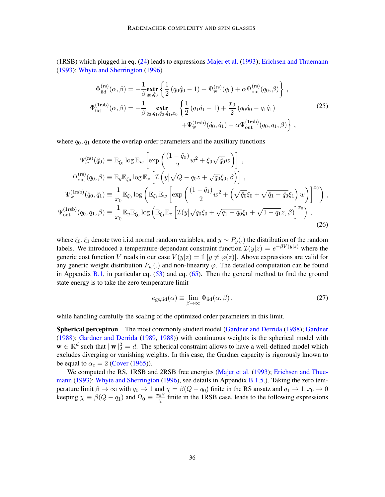(1RSB) which plugged in eq. [\(24\)](#page-8-0) leads to expressions [Majer et al.](#page-17-11) [\(1993\)](#page-17-11); [Erichsen and Thuemann](#page-16-10) [\(1993\)](#page-16-10); [Whyte and Sherrington](#page-18-9) [\(1996\)](#page-18-9)

<span id="page-9-0"></span>
$$
\Phi_{\text{iid}}^{(\text{rs})}(\alpha, \beta) = -\frac{1}{\beta} \underset{q_0, \hat{q}_0}{\text{extr}} \left\{ \frac{1}{2} \left( q_0 \hat{q}_0 - 1 \right) + \Psi_{\text{w}}^{(\text{rs})}(\hat{q}_0) + \alpha \Psi_{\text{out}}^{(\text{rs})}(q_0, \beta) \right\},
$$
\n
$$
\Phi_{\text{iid}}^{(\text{Irsb})}(\alpha, \beta) = -\frac{1}{\beta} \underset{q_0, q_1, \hat{q}_0, \hat{q}_1, x_0}{\text{extr}} \left\{ \frac{1}{2} \left( q_1 \hat{q}_1 - 1 \right) + \frac{x_0}{2} \left( q_0 \hat{q}_0 - q_1 \hat{q}_1 \right) + \Psi_{\text{w}}^{(\text{Irsb})}(\hat{q}_0, \hat{q}_1) + \alpha \Psi_{\text{out}}^{(\text{Irsb})}(q_0, q_1, \beta) \right\},
$$
\n(25)

where  $q_0, q_1$  denote the overlap order parameters and the auxiliary functions

$$
\Psi_{w}^{(\text{rs})}(\hat{q}_{0}) \equiv \mathbb{E}_{\xi_{0}} \log \mathbb{E}_{w} \left[ \exp \left( \frac{(1 - \hat{q}_{0})}{2} w^{2} + \xi_{0} \sqrt{\hat{q}_{0}} w \right) \right],
$$
\n
$$
\Psi_{\text{out}}^{(\text{rs})}(q_{0}, \beta) \equiv \mathbb{E}_{y} \mathbb{E}_{\xi_{0}} \log \mathbb{E}_{z} \left[ \mathcal{I} \left( y | \sqrt{Q - q_{0}} z + \sqrt{q_{0}} \xi_{0}, \beta \right) \right],
$$
\n
$$
\Psi_{w}^{(\text{1rsb})}(\hat{q}_{0}, \hat{q}_{1}) \equiv \frac{1}{x_{0}} \mathbb{E}_{\xi_{0}} \log \left( \mathbb{E}_{\xi_{1}} \mathbb{E}_{w} \left[ \exp \left( \frac{(1 - \hat{q}_{1})}{2} w^{2} + \left( \sqrt{\hat{q}_{0}} \xi_{0} + \sqrt{\hat{q}_{1} - \hat{q}_{0}} \xi_{1} \right) w \right) \right]^{x_{0}} \right),
$$
\n
$$
\Psi_{\text{out}}^{(\text{1rsb})}(q_{0}, q_{1}, \beta) \equiv \frac{1}{x_{0}} \mathbb{E}_{y} \mathbb{E}_{\xi_{0}} \log \left( \mathbb{E}_{\xi_{1}} \mathbb{E}_{z} \left[ \mathcal{I}(y | \sqrt{q_{0}} \xi_{0} + \sqrt{q_{1} - q_{0}} \xi_{1} + \sqrt{1 - q_{1}} z, \beta \right) \right]^{x_{0}} \right),
$$
\n(26)

where  $\xi_0, \xi_1$  denote two i.i.d normal random variables, and  $y \sim P_y(.)$  the distribution of the random labels. We introduced a temperature-dependant constraint function  $\mathcal{I}(y|z) = e^{-\beta V(y|z)}$  where the generic cost function V reads in our case  $V(y|z) = \mathbb{1}[y \neq \varphi(z)]$ . Above expressions are valid for any generic weight distribution  $P_w(.)$  and non-linearity  $\varphi$ . The detailed computation can be found in Appendix [B.1,](#page-20-0) in particular eq.  $(53)$  and eq.  $(65)$ . Then the general method to find the ground state energy is to take the zero temperature limit

$$
e_{\rm gs, \rm iid}(\alpha) \equiv \lim_{\beta \to \infty} \Phi_{\rm iid}(\alpha, \beta) \,, \tag{27}
$$

while handling carefully the scaling of the optimized order parameters in this limit.

Spherical perceptron The most commonly studied model [\(Gardner and Derrida](#page-16-2) [\(1988\)](#page-16-2); [Gardner](#page-16-11) [\(1988\)](#page-16-11); [Gardner and Derrida](#page-16-6) [\(1989,](#page-16-6) [1988\)](#page-16-2)) with continuous weights is the spherical model with  $\mathbf{w} \in \mathbb{R}^d$  such that  $\|\mathbf{w}\|_2^2 = d$ . The spherical constraint allows to have a well-defined model which excludes diverging or vanishing weights. In this case, the Gardner capacity is rigorously known to be equal to  $\alpha_c = 2$  [\(Cover](#page-16-7) [\(1965\)](#page-16-7)).

We computed the RS, 1RSB and 2RSB free energies [\(Majer et al.](#page-17-11) [\(1993\)](#page-17-11); [Erichsen and Thue](#page-16-10)[mann](#page-16-10) [\(1993\)](#page-16-10); [Whyte and Sherrington](#page-18-9) [\(1996\)](#page-18-9), see details in Appendix [B.1.5.](#page-26-0)). Taking the zero temperature limit  $\beta \to \infty$  with  $q_0 \to 1$  and  $\chi = \beta(Q - q_0)$  finite in the RS ansatz and  $q_1 \to 1, x_0 \to 0$ keeping  $\chi \equiv \beta(Q - q_1)$  and  $\Omega_0 \equiv \frac{x_0 \beta}{\chi}$  $\frac{\partial \beta}{\partial \chi}$  finite in the 1RSB case, leads to the following expressions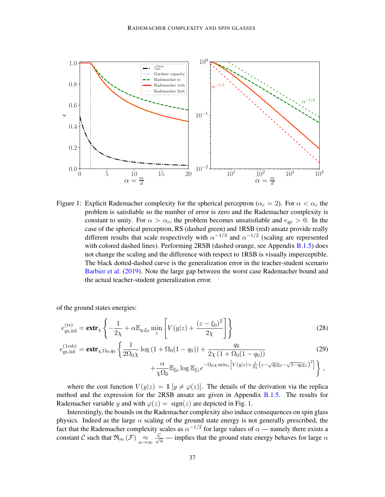

<span id="page-10-0"></span>Figure 1: Explicit Rademacher complexity for the spherical perceptron ( $\alpha_c = 2$ ). For  $\alpha < \alpha_c$  the problem is satisfiable so the number of error is zero and the Rademacher complexity is constant to unity. For  $\alpha > \alpha_c$ , the problem becomes unsatisfiable and  $e_{gs} > 0$ . In the case of the spherical perceptron, RS (dashed green) and 1RSB (red) ansatz provide really different results that scale respectively with  $\alpha^{-1/3}$  and  $\alpha^{-1/2}$  (scaling are represented with colored dashed lines). Performing 2RSB (dashed orange, see Appendix [B.1.5\)](#page-26-0) does not change the scaling and the difference with respect to 1RSB is visually imperceptible. The black dotted-dashed curve is the generalization error in the teacher-student scenario [Barbier et al.](#page-16-12) [\(2019\)](#page-16-12). Note the large gap between the worst case Rademacher bound and the actual teacher-student generalization error.

of the ground states energies:

$$
e_{\text{gs,iid}}^{(\text{rs})} = \text{extr}_{\chi} \left\{ -\frac{1}{2\chi} + \alpha \mathbb{E}_{y,\xi_0} \min_z \left[ V(y|z) + \frac{(z-\xi_0)^2}{2\chi} \right] \right\} \tag{28}
$$

$$
e_{\text{gs,iid}}^{(1\text{rsb})} = \text{extr}_{\chi, \Omega_0, q_0} \left\{ \frac{1}{2\Omega_0 \chi} \log \left( 1 + \Omega_0 (1 - q_0) \right) + \frac{q_0}{2\chi \left( 1 + \Omega_0 (1 - q_0) \right)} \right\}
$$
(29)

<span id="page-10-1"></span>
$$
\left. + {\alpha \over \chi \Omega_0} \mathbb{E}_{\xi_0} \log \mathbb{E}_{\xi_1} e^{- \Omega_0 \chi \min_z \left[ V(y|z) + {1\over 2\chi} \left( z - \sqrt{q_0} \xi_0 - \sqrt{1-q_0} \xi_1 \right)^2 \right] } \right\} \,,
$$

where the cost function  $V(y|z) = 1$   $[y \neq \varphi(z)]$ . The details of the derivation via the replica method and the expression for the 2RSB ansatz are given in Appendix [B.1.5.](#page-26-0) The results for Rademacher variable y and with  $\varphi(z) = \text{sign}(z)$  are depicted in Fig. [1.](#page-10-0)

Interestingly, the bounds on the Rademacher complexity also induce consequences on spin glass physics. Indeed as the large  $\alpha$  scaling of the ground state energy is not generally prescribed, the fact that the Rademacher complexity scales as  $\alpha^{-1/2}$  for large values of  $\alpha$  — namely there exists a constant C such that  $\mathfrak{R}_m(\mathcal{F}) \underset{\alpha \to \infty}{\approx} \frac{\mathcal{C}}{\sqrt{\alpha}}$  — implies that the ground state energy behaves for large  $\alpha$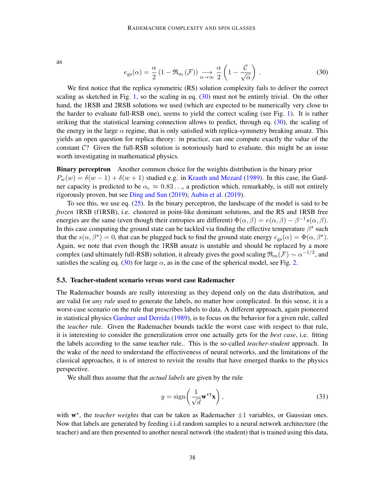as

<span id="page-11-0"></span>
$$
e_{\rm gs}(\alpha) = \frac{\alpha}{2} \left( 1 - \Re_m \left( \mathcal{F} \right) \right) \underset{\alpha \to \infty}{\longrightarrow} \frac{\alpha}{2} \left( 1 - \frac{\mathcal{C}}{\sqrt{\alpha}} \right) . \tag{30}
$$

We first notice that the replica symmetric (RS) solution complexity fails to deliver the correct scaling as sketched in Fig. [1,](#page-10-0) so the scaling in eq. [\(30\)](#page-11-0) must not be entirely trivial. On the other hand, the 1RSB and 2RSB solutions we used (which are expected to be numerically very close to the harder to evaluate full-RSB one), seems to yield the correct scaling (see Fig. [1\)](#page-10-0). It is rather striking that the statistical learning connection allows to predict, through eq.  $(30)$ , the scaling of the energy in the large  $\alpha$  regime, that is only satisfied with replica-symmetry breaking ansatz. This yields an open question for replica theory: in practice, can one compute exactly the value of the constant  $C$ ? Given the full-RSB solution is notoriously hard to evaluate, this might be an issue worth investigating in mathematical physics.

Binary perceptron Another common choice for the weights distribution is the binary prior  $P_w(w) = \delta(w-1) + \delta(w+1)$  studied e.g. in [Krauth and Mezard](#page-17-5) [\(1989\)](#page-17-5). In this case, the Gardner capacity is predicted to be  $\alpha_c \approx 0.83\dots$ , a prediction which, remarkably, is still not entirely rigorously proven, but see [Ding and Sun](#page-16-8) [\(2019\)](#page-16-8); [Aubin et al.](#page-15-0) [\(2019\)](#page-15-0).

To see this, we use eq. [\(25\)](#page-9-0). In the binary perceptron, the landscape of the model is said to be *frozen* 1RSB (f1RSB), i.e. clustered in point-like dominant solutions, and the RS and 1RSB free energies are the same (even though their entropies are different)  $\Phi(\alpha, \beta) = e(\alpha, \beta) - \beta^{-1} s(\alpha, \beta)$ . In this case computing the ground state can be tackled via finding the effective temperature  $\beta^*$  such that the  $s(\alpha, \beta^*) = 0$ , that can be plugged back to find the ground state energy  $e_{gs}(\alpha) = \Phi(\alpha, \beta^*)$ . Again, we note that even though the 1RSB ansatz is unstable and should be replaced by a more complex (and ultimately full-RSB) solution, it already gives the good scaling  $\mathfrak{R}_m(\mathcal{F}) \sim \alpha^{-1/2}$ , and satisfies the scaling eq. [\(30\)](#page-11-0) for large  $\alpha$ , as in the case of the spherical model, see Fig. [2.](#page-12-0)

### 5.3. Teacher-student scenario versus worst case Rademacher

The Rademacher bounds are really interesting as they depend only on the data distribution, and are valid for *any rule* used to generate the labels, no matter how complicated. In this sense, it is a worst-case scenario on the rule that prescribes labels to data. A different approach, again pioneered in statistical physics [Gardner and Derrida](#page-16-6) [\(1989\)](#page-16-6), is to focus on the behavior for a given rule, called the *teacher* rule. Given the Rademacher bounds tackle the worst case with respect to that rule, it is interesting to consider the generalization error one actually gets for the *best case*, i.e. fitting the labels according to the same teacher rule.. This is the so-called *teacher-student* approach. In the wake of the need to understand the effectiveness of neural networks, and the limitations of the classical approaches, it is of interest to revisit the results that have emerged thanks to the physics perspective.

We shall thus assume that the *actual labels* are given by the rule

$$
y = \text{sign}\left(\frac{1}{\sqrt{d}} \mathbf{w}^{\star \mathsf{T}} \mathbf{x}\right),\tag{31}
$$

with  $w^*$ , the *teacher weights* that can be taken as Rademacher  $\pm 1$  variables, or Gaussian ones. Now that labels are generated by feeding i.i.d random samples to a neural network architecture (the teacher) and are then presented to another neural network (the student) that is trained using this data,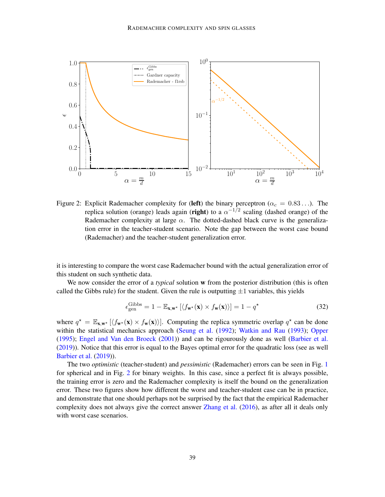

<span id="page-12-0"></span>Figure 2: Explicit Rademacher complexity for (left) the binary perceptron ( $\alpha_c = 0.83...$ ). The replica solution (orange) leads again (right) to a  $\alpha^{-1/2}$  scaling (dashed orange) of the Rademacher complexity at large  $\alpha$ . The dotted-dashed black curve is the generalization error in the teacher-student scenario. Note the gap between the worst case bound (Rademacher) and the teacher-student generalization error.

it is interesting to compare the worst case Rademacher bound with the actual generalization error of this student on such synthetic data.

We now consider the error of a *typical* solution w from the posterior distribution (this is often called the Gibbs rule) for the student. Given the rule is outputting  $\pm 1$  variables, this yields

$$
\epsilon_{\text{gen}}^{\text{Gibbs}} = 1 - \mathbb{E}_{\mathbf{x}, \mathbf{w}^{\star}} \left[ \langle f_{\mathbf{w}^{\star}}(\mathbf{x}) \times f_{\mathbf{w}}(\mathbf{x}) \rangle \right] = 1 - q^{\star}
$$
 (32)

where  $q^* = \mathbb{E}_{\mathbf{x}, \mathbf{w}^*} [\langle f_{\mathbf{w}^*}(\mathbf{x}) \times f_{\mathbf{w}}(\mathbf{x}) \rangle]$ . Computing the replica symmetric overlap  $q^*$  can be done within the statistical mechanics approach [\(Seung et al.](#page-18-3) [\(1992\)](#page-18-3); [Watkin and Rau](#page-18-4) [\(1993\)](#page-18-4); [Opper](#page-17-0) [\(1995\)](#page-17-0); [Engel and Van den Broeck](#page-16-1) [\(2001\)](#page-16-1)) and can be rigourously done as well [\(Barbier et al.](#page-16-12) [\(2019\)](#page-16-12)). Notice that this error is equal to the Bayes optimal error for the quadratic loss (see as well [Barbier et al.](#page-16-12) [\(2019\)](#page-16-12)).

The two *optimistic* (teacher-student) and *pessimistic* (Rademacher) errors can be seen in Fig. [1](#page-10-0) for spherical and in Fig. [2](#page-12-0) for binary weights. In this case, since a perfect fit is always possible, the training error is zero and the Rademacher complexity is itself the bound on the generalization error. These two figures show how different the worst and teacher-student case can be in practice, and demonstrate that one should perhaps not be surprised by the fact that the empirical Rademacher complexity does not always give the correct answer [Zhang et al.](#page-18-2) [\(2016\)](#page-18-2), as after all it deals only with worst case scenarios.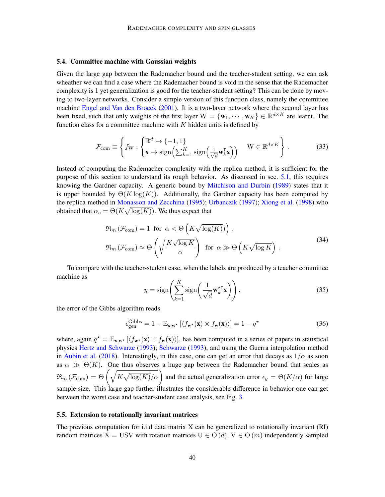### 5.4. Committee machine with Gaussian weights

Given the large gap between the Rademacher bound and the teacher-student setting, we can ask wheather we can find a case where the Rademacher bound is void in the sense that the Rademacher complexity is 1 yet generalization is good for the teacher-student setting? This can be done by moving to two-layer networks. Consider a simple version of this function class, namely the committee machine [Engel and Van den Broeck](#page-16-1) [\(2001\)](#page-16-1). It is a two-layer network where the second layer has been fixed, such that only weights of the first layer  $W = \{w_1, \dots, w_K\} \in \mathbb{R}^{d \times K}$  are learnt. The function class for a committee machine with  $K$  hidden units is defined by

$$
\mathcal{F}_{\text{com}} \equiv \left\{ f_{\text{W}} : \begin{cases} \mathbb{R}^d \mapsto \{-1, 1\} \\ \mathbf{x} \mapsto \text{sign}\Big(\sum_{k=1}^K \text{sign}\Big(\frac{1}{\sqrt{d}} \mathbf{w}_k^{\mathsf{T}} \mathbf{x}\Big) \Big) \end{cases} \quad \text{W} \in \mathbb{R}^{d \times K} \right\} . \tag{33}
$$

Instead of computing the Rademacher complexity with the replica method, it is sufficient for the purpose of this section to understand its rough behavior. As discussed in sec. [5.1,](#page-7-1) this requires knowing the Gardner capacity. A generic bound by [Mitchison and Durbin](#page-17-12) [\(1989\)](#page-17-12) states that it is upper bounded by  $\Theta(K \log(K))$ . Additionally, the Gardner capacity has been computed by the replica method in [Monasson and Zecchina](#page-17-13) [\(1995\)](#page-17-13); [Urbanczik](#page-18-10) [\(1997\)](#page-18-10); [Xiong et al.](#page-18-11) [\(1998\)](#page-18-11) who obtained that  $\alpha_c = \Theta(K\sqrt{\log(K)})$ . We thus expect that

$$
\mathfrak{R}_{m}(\mathcal{F}_{com}) = 1 \text{ for } \alpha < \Theta\left(K\sqrt{\log(K)}\right) \right),\
$$
  

$$
\mathfrak{R}_{m}(\mathcal{F}_{com}) \approx \Theta\left(\sqrt{\frac{K\sqrt{\log K}}{\alpha}}\right) \text{ for } \alpha \gg \Theta\left(K\sqrt{\log K}\right).
$$
 (34)

To compare with the teacher-student case, when the labels are produced by a teacher committee machine as

$$
y = \text{sign}\left(\sum_{k=1}^{K} \text{sign}\left(\frac{1}{\sqrt{d}} \mathbf{w}_{k}^{* \mathsf{T}} \mathbf{x}\right)\right),\tag{35}
$$

the error of the Gibbs algorithm reads

$$
\epsilon_{\text{gen}}^{\text{Gibbs}} = 1 - \mathbb{E}_{\mathbf{x}, \mathbf{w}^{\star}} \left[ \langle f_{\mathbf{w}^{\star}}(\mathbf{x}) \times f_{\mathbf{w}}(\mathbf{x}) \rangle \right] = 1 - q^{\star}
$$
 (36)

where, again  $q^* = \mathbb{E}_{\mathbf{x},\mathbf{w}^*} [\langle f_{\mathbf{w}^*}(\mathbf{x}) \times f_{\mathbf{w}}(\mathbf{x}) \rangle]$ , has been computed in a series of papers in statistical physics [Hertz and Schwarze](#page-17-6) [\(1993\)](#page-17-6); [Schwarze](#page-18-12) [\(1993\)](#page-18-12), and using the Guerra interpolation method in [Aubin et al.](#page-15-1) [\(2018\)](#page-15-1). Interestingly, in this case, one can get an error that decays as  $1/\alpha$  as soon as  $\alpha \gg \Theta(K)$ . One thus observes a huge gap between the Rademacher bound that scales as  $\mathfrak{R}_m(\mathcal{F}_{\text{com}}) = \Theta\left(\sqrt{K\sqrt{\log(K)}/\alpha}\right)$  and the actual generalization error  $\epsilon_g = \Theta(K/\alpha)$  for large sample size. This large gap further illustrates the considerable difference in behavior one can get between the worst case and teacher-student case analysis, see Fig. [3.](#page-14-0)

### <span id="page-13-0"></span>5.5. Extension to rotationally invariant matrices

The previous computation for i.i.d data matrix X can be generalized to rotationally invariant (RI) random matrices  $X = USV$  with rotation matrices  $U \in O(d)$ ,  $V \in O(m)$  independently sampled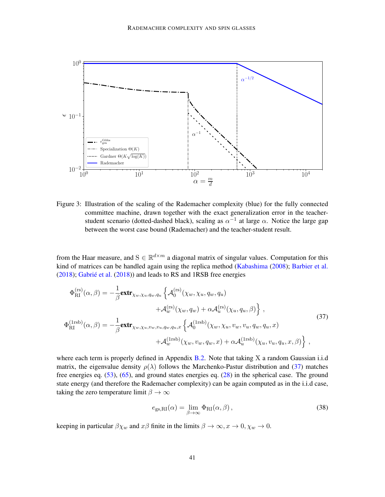

<span id="page-14-0"></span>Figure 3: Illustration of the scaling of the Rademacher complexity (blue) for the fully connected committee machine, drawn together with the exact generalization error in the teacherstudent scenario (dotted-dashed black), scaling as  $\alpha^{-1}$  at large  $\alpha$ . Notice the large gap between the worst case bound (Rademacher) and the teacher-student result.

from the Haar measure, and  $S \in \mathbb{R}^{d \times m}$  a diagonal matrix of singular values. Computation for this kind of matrices can be handled again using the replica method [\(Kabashima](#page-17-14) [\(2008\)](#page-17-14); [Barbier et al.](#page-16-13)  $(2018)$ ; Gabrié et al.  $(2018)$ ) and leads to RS and 1RSB free energies

$$
\Phi_{\text{RI}}^{(\text{rs})}(\alpha, \beta) = -\frac{1}{\beta} \mathbf{extr}_{\chi_w, \chi_u, q_w, q_u} \left\{ \mathcal{A}_0^{(\text{rs})}(\chi_w, \chi_u, q_w, q_u) \right.\n+ \mathcal{A}_w^{(\text{rs})}(\chi_w, q_w) + \alpha \mathcal{A}_u^{(\text{rs})}(\chi_u, q_u, \beta) \right\},
$$
\n
$$
\Phi_{\text{RI}}^{(\text{Irsb})}(\alpha, \beta) = -\frac{1}{\beta} \mathbf{extr}_{\chi_w, \chi_u, v_w, v_u, q_w, q_u, x} \left\{ \mathcal{A}_0^{(\text{Irsb})}(\chi_w, \chi_u, v_w, v_u, q_w, q_u, x) + \mathcal{A}_w^{(\text{Irsb})}(\chi_w, v_w, q_w, x) + \alpha \mathcal{A}_u^{(\text{Irsb})}(\chi_u, v_u, q_u, x, \beta) \right\},
$$
\n(37)

where each term is properly defined in Appendix [B.2.](#page-27-0) Note that taking X a random Gaussian i.i.d matrix, the eigenvalue density  $\rho(\lambda)$  follows the Marchenko-Pastur distribution and [\(37\)](#page-14-1) matches free energies eq. [\(53\)](#page-23-0), [\(65\)](#page-25-0), and ground states energies eq. [\(28\)](#page-10-1) in the spherical case. The ground state energy (and therefore the Rademacher complexity) can be again computed as in the i.i.d case, taking the zero temperature limit  $\beta \to \infty$ 

<span id="page-14-1"></span>
$$
e_{\rm gs,RI}(\alpha) = \lim_{\beta \to \infty} \Phi_{\rm RI}(\alpha, \beta) \,, \tag{38}
$$

keeping in particular  $\beta \chi_w$  and  $x\beta$  finite in the limits  $\beta \to \infty, x \to 0, \chi_w \to 0$ .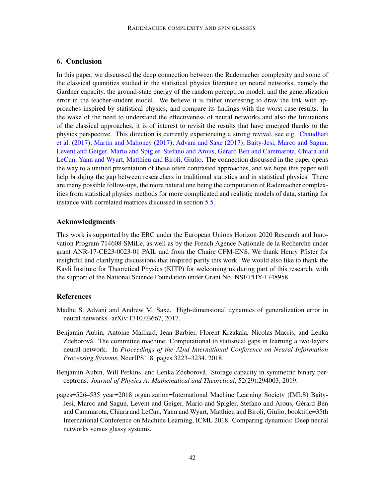# 6. Conclusion

In this paper, we discussed the deep connection between the Rademacher complexity and some of the classical quantities studied in the statistical physics literature on neural networks, namely the Gardner capacity, the ground-state energy of the random perceptron model, and the generalization error in the teacher-student model. We believe it is rather interesting to draw the link with approaches inspired by statistical physics, and compare its findings with the worst-case results. In the wake of the need to understand the effectiveness of neural networks and also the limitations of the classical approaches, it is of interest to revisit the results that have emerged thanks to the physics perspective. This direction is currently experiencing a strong revival, see e.g. [Chaudhari](#page-16-15) [et al.](#page-16-15) [\(2017\)](#page-16-15); [Martin and Mahoney](#page-17-15) [\(2017\)](#page-17-15); [Advani and Saxe](#page-15-2) [\(2017\)](#page-15-2); [Baity-Jesi, Marco and Sagun,](#page-15-3) [Levent and Geiger, Mario and Spigler, Stefano and Arous, Gerard Ben and Cammarota, Chiara and](#page-15-3) ´ [LeCun, Yann and Wyart, Matthieu and Biroli, Giulio.](#page-15-3) The connection discussed in the paper opens the way to a unified presentation of these often contrasted approaches, and we hope this paper will help bridging the gap between researchers in traditional statistics and in statistical physics. There are many possible follow-ups, the more natural one being the computation of Rademacher complexities from statistical physics methods for more complicated and realistic models of data, starting for instance with correlated matrices discussed in section [5.5.](#page-13-0)

# Acknowledgments

This work is supported by the ERC under the European Unions Horizon 2020 Research and Innovation Program 714608-SMiLe, as well as by the French Agence Nationale de la Recherche under grant ANR-17-CE23-0023-01 PAIL and from the Chaire CFM-ENS. We thank Henry Pfister for insightful and clarifying discussions that inspired partly this work. We would also like to thank the Kavli Institute for Theoretical Physics (KITP) for welcoming us during part of this research, with the support of the National Science Foundation under Grant No. NSF PHY-1748958.

# References

- <span id="page-15-2"></span>Madhu S. Advani and Andrew M. Saxe. High-dimensional dynamics of generalization error in neural networks. arXiv:1710.03667, 2017.
- <span id="page-15-1"></span>Benjamin Aubin, Antoine Maillard, Jean Barbier, Florent Krzakala, Nicolas Macris, and Lenka Zdeborová. The committee machine: Computational to statistical gaps in learning a two-layers neural network. In *Proceedings of the 32nd International Conference on Neural Information Processing Systems*, NeurIPS'18, pages 3223–3234. 2018.
- <span id="page-15-0"></span>Benjamin Aubin, Will Perkins, and Lenka Zdeborová. Storage capacity in symmetric binary perceptrons. *Journal of Physics A: Mathematical and Theoretical*, 52(29):294003, 2019.
- <span id="page-15-3"></span>pages=526–535 year=2018 organization=International Machine Learning Society (IMLS) Baity-Jesi, Marco and Sagun, Levent and Geiger, Mario and Spigler, Stefano and Arous, Gerard Ben ´ and Cammarota, Chiara and LeCun, Yann and Wyart, Matthieu and Biroli, Giulio, booktitle=35th International Conference on Machine Learning, ICML 2018. Comparing dynamics: Deep neural networks versus glassy systems.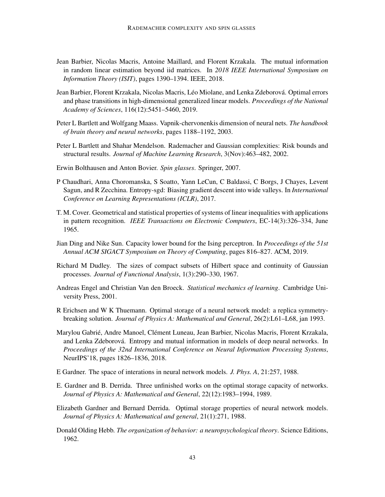- <span id="page-16-13"></span>Jean Barbier, Nicolas Macris, Antoine Maillard, and Florent Krzakala. The mutual information in random linear estimation beyond iid matrices. In *2018 IEEE International Symposium on Information Theory (ISIT)*, pages 1390–1394. IEEE, 2018.
- <span id="page-16-12"></span>Jean Barbier, Florent Krzakala, Nicolas Macris, Léo Miolane, and Lenka Zdeborová. Optimal errors and phase transitions in high-dimensional generalized linear models. *Proceedings of the National Academy of Sciences*, 116(12):5451–5460, 2019.
- <span id="page-16-5"></span>Peter L Bartlett and Wolfgang Maass. Vapnik-chervonenkis dimension of neural nets. *The handbook of brain theory and neural networks*, pages 1188–1192, 2003.
- <span id="page-16-0"></span>Peter L Bartlett and Shahar Mendelson. Rademacher and Gaussian complexities: Risk bounds and structural results. *Journal of Machine Learning Research*, 3(Nov):463–482, 2002.
- <span id="page-16-9"></span>Erwin Bolthausen and Anton Bovier. *Spin glasses*. Springer, 2007.
- <span id="page-16-15"></span>P Chaudhari, Anna Choromanska, S Soatto, Yann LeCun, C Baldassi, C Borgs, J Chayes, Levent Sagun, and R Zecchina. Entropy-sgd: Biasing gradient descent into wide valleys. In *International Conference on Learning Representations (ICLR)*, 2017.
- <span id="page-16-7"></span>T. M. Cover. Geometrical and statistical properties of systems of linear inequalities with applications in pattern recognition. *IEEE Transactions on Electronic Computers*, EC-14(3):326–334, June 1965.
- <span id="page-16-8"></span>Jian Ding and Nike Sun. Capacity lower bound for the Ising perceptron. In *Proceedings of the 51st Annual ACM SIGACT Symposium on Theory of Computing*, pages 816–827. ACM, 2019.
- <span id="page-16-3"></span>Richard M Dudley. The sizes of compact subsets of Hilbert space and continuity of Gaussian processes. *Journal of Functional Analysis*, 1(3):290–330, 1967.
- <span id="page-16-1"></span>Andreas Engel and Christian Van den Broeck. *Statistical mechanics of learning*. Cambridge University Press, 2001.
- <span id="page-16-10"></span>R Erichsen and W K Thuemann. Optimal storage of a neural network model: a replica symmetrybreaking solution. *Journal of Physics A: Mathematical and General*, 26(2):L61–L68, jan 1993.
- <span id="page-16-14"></span>Marylou Gabrié, Andre Manoel, Clément Luneau, Jean Barbier, Nicolas Macris, Florent Krzakala, and Lenka Zdeborová. Entropy and mutual information in models of deep neural networks. In *Proceedings of the 32nd International Conference on Neural Information Processing Systems*, NeurIPS'18, pages 1826–1836, 2018.
- <span id="page-16-11"></span>E Gardner. The space of interations in neural network models. *J. Phys. A*, 21:257, 1988.
- <span id="page-16-6"></span>E. Gardner and B. Derrida. Three unfinished works on the optimal storage capacity of networks. *Journal of Physics A: Mathematical and General*, 22(12):1983–1994, 1989.
- <span id="page-16-2"></span>Elizabeth Gardner and Bernard Derrida. Optimal storage properties of neural network models. *Journal of Physics A: Mathematical and general*, 21(1):271, 1988.
- <span id="page-16-4"></span>Donald Olding Hebb. *The organization of behavior: a neuropsychological theory*. Science Editions, 1962.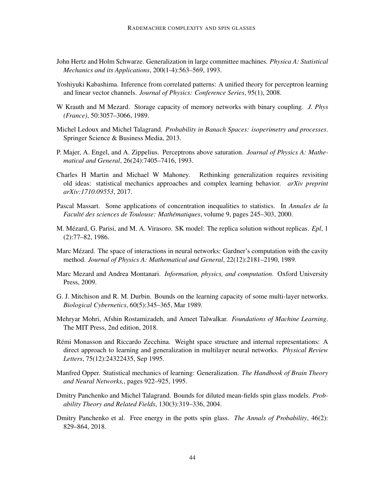- <span id="page-17-6"></span>John Hertz and Holm Schwarze. Generalization in large committee machines. *Physica A: Statistical Mechanics and its Applications*, 200(1-4):563–569, 1993.
- <span id="page-17-14"></span>Yoshiyuki Kabashima. Inference from correlated patterns: A unified theory for perceptron learning and linear vector channels. *Journal of Physics: Conference Series*, 95(1), 2008.
- <span id="page-17-5"></span>W Krauth and M Mezard. Storage capacity of memory networks with binary coupling. *J. Phys (France)*, 50:3057–3066, 1989.
- <span id="page-17-3"></span>Michel Ledoux and Michel Talagrand. *Probability in Banach Spaces: isoperimetry and processes*. Springer Science & Business Media, 2013.
- <span id="page-17-11"></span>P. Majer, A. Engel, and A. Zippelius. Perceptrons above saturation. *Journal of Physics A: Mathematical and General*, 26(24):7405–7416, 1993.
- <span id="page-17-15"></span>Charles H Martin and Michael W Mahoney. Rethinking generalization requires revisiting old ideas: statistical mechanics approaches and complex learning behavior. *arXiv preprint arXiv:1710.09553*, 2017.
- <span id="page-17-2"></span>Pascal Massart. Some applications of concentration inequalities to statistics. In *Annales de la Faculté des sciences de Toulouse: Mathématiques, volume 9, pages 245-303, 2000.*
- <span id="page-17-4"></span>M. Mézard, G. Parisi, and M. A. Virasoro. SK model: The replica solution without replicas. *Epl*, 1 (2):77–82, 1986.
- <span id="page-17-10"></span>Marc Mézard. The space of interactions in neural networks: Gardner's computation with the cavity method. *Journal of Physics A: Mathematical and General*, 22(12):2181–2190, 1989.
- <span id="page-17-7"></span>Marc Mezard and Andrea Montanari. *Information, physics, and computation*. Oxford University Press, 2009.
- <span id="page-17-12"></span>G. J. Mitchison and R. M. Durbin. Bounds on the learning capacity of some multi-layer networks. *Biological Cybernetics*, 60(5):345–365, Mar 1989.
- <span id="page-17-1"></span>Mehryar Mohri, Afshin Rostamizadeh, and Ameet Talwalkar. *Foundations of Machine Learning*. The MIT Press, 2nd edition, 2018.
- <span id="page-17-13"></span>Remi Monasson and Riccardo Zecchina. Weight space structure and internal representations: A ´ direct approach to learning and generalization in multilayer neural networks. *Physical Review Letters*, 75(12):24322435, Sep 1995.
- <span id="page-17-0"></span>Manfred Opper. Statistical mechanics of learning: Generalization. *The Handbook of Brain Theory and Neural Networks,*, pages 922–925, 1995.
- <span id="page-17-8"></span>Dmitry Panchenko and Michel Talagrand. Bounds for diluted mean-fields spin glass models. *Probability Theory and Related Fields*, 130(3):319–336, 2004.
- <span id="page-17-9"></span>Dmitry Panchenko et al. Free energy in the potts spin glass. *The Annals of Probability*, 46(2): 829–864, 2018.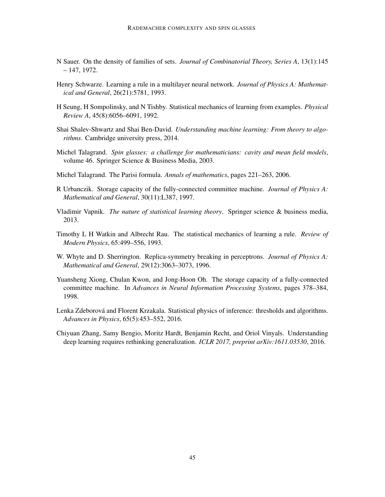- <span id="page-18-7"></span>N Sauer. On the density of families of sets. *Journal of Combinatorial Theory, Series A*, 13(1):145 – 147, 1972.
- <span id="page-18-12"></span>Henry Schwarze. Learning a rule in a multilayer neural network. *Journal of Physics A: Mathematical and General*, 26(21):5781, 1993.
- <span id="page-18-3"></span>H Seung, H Sompolinsky, and N Tishby. Statistical mechanics of learning from examples. *Physical Review A*, 45(8):6056–6091, 1992.
- <span id="page-18-1"></span>Shai Shalev-Shwartz and Shai Ben-David. *Understanding machine learning: From theory to algorithms*. Cambridge university press, 2014.
- <span id="page-18-6"></span>Michel Talagrand. *Spin glasses: a challenge for mathematicians: cavity and mean field models*, volume 46. Springer Science & Business Media, 2003.
- <span id="page-18-8"></span>Michel Talagrand. The Parisi formula. *Annals of mathematics*, pages 221–263, 2006.
- <span id="page-18-10"></span>R Urbanczik. Storage capacity of the fully-connected committee machine. *Journal of Physics A: Mathematical and General*, 30(11):L387, 1997.
- <span id="page-18-0"></span>Vladimir Vapnik. *The nature of statistical learning theory*. Springer science & business media, 2013.
- <span id="page-18-4"></span>Timothy L H Watkin and Albrecht Rau. The statistical mechanics of learning a rule. *Review of Modern Physics*, 65:499–556, 1993.
- <span id="page-18-9"></span>W. Whyte and D. Sherrington. Replica-symmetry breaking in perceptrons. *Journal of Physics A: Mathematical and General*, 29(12):3063–3073, 1996.
- <span id="page-18-11"></span>Yuansheng Xiong, Chulan Kwon, and Jong-Hoon Oh. The storage capacity of a fully-connected committee machine. In *Advances in Neural Information Processing Systems*, pages 378–384, 1998.
- <span id="page-18-5"></span>Lenka Zdeborová and Florent Krzakala. Statistical physics of inference: thresholds and algorithms. *Advances in Physics*, 65(5):453–552, 2016.
- <span id="page-18-2"></span>Chiyuan Zhang, Samy Bengio, Moritz Hardt, Benjamin Recht, and Oriol Vinyals. Understanding deep learning requires rethinking generalization. *ICLR 2017, preprint arXiv:1611.03530*, 2016.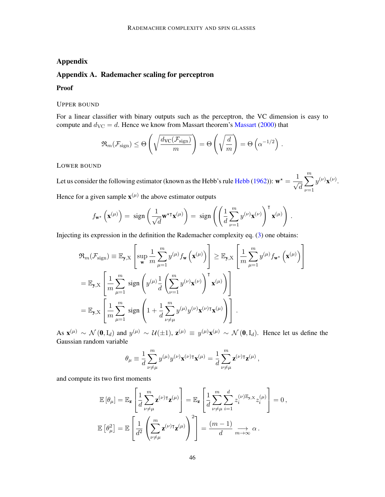# Appendix

# <span id="page-19-0"></span>Appendix A. Rademacher scaling for perceptron

#### Proof

### UPPER BOUND

For a linear classifier with binary outputs such as the perceptron, the VC dimension is easy to compute and  $d_{\text{VC}} = d$ . Hence we know from [Massart](#page-17-2) theorem's Massart [\(2000\)](#page-17-2) that

$$
\Re_m(\mathcal{F}_{\text{sign}}) \leq \Theta\left(\sqrt{\frac{d_{\text{VC}}(\mathcal{F}_{\text{sign}})}{m}}\right) = \Theta\left(\sqrt{\frac{d}{m}}\right) = \Theta\left(\alpha^{-1/2}\right).
$$

# LOWER BOUND

Let us consider the following estimator (known as the [Hebb](#page-16-4)'s rule Hebb [\(1962\)](#page-16-4)):  $\mathbf{w}^* = \frac{1}{\sqrt{2}}$  $\overline{\sqrt{d}}$  $\stackrel{m}{\blacktriangledown}$  $\nu = 1$  $y^{(\nu)}\mathbf{x}^{(\nu)}$ . Hence for a given sample  $\mathbf{x}^{(\mu)}$  the above estimator outputs

$$
f_{\mathbf{w}^{\star}}\left(\mathbf{x}^{(\mu)}\right) = \text{ sign}\left(\frac{1}{\sqrt{d}}\mathbf{w}^{\star \mathsf{T}}\mathbf{x}^{(\mu)}\right) = \text{ sign}\left(\left(\frac{1}{d}\sum_{\nu=1}^{m}y^{(\nu)}\mathbf{x}^{(\nu)}\right)^{\mathsf{T}}\mathbf{x}^{(\mu)}\right).
$$

Injecting its expression in the definition the Rademacher complexity eq. [\(3\)](#page-2-1) one obtains:

$$
\mathfrak{R}_{m}(\mathcal{F}_{\text{sign}}) \equiv \mathbb{E}_{\mathbf{y}, \mathbf{X}} \left[ \sup_{\mathbf{w}} \frac{1}{m} \sum_{\mu=1}^{m} y^{(\mu)} f_{\mathbf{w}} \left( \mathbf{x}^{(\mu)} \right) \right] \geq \mathbb{E}_{\mathbf{y}, \mathbf{X}} \left[ \frac{1}{m} \sum_{\mu=1}^{m} y^{(\mu)} f_{\mathbf{w}^{\star}} \left( \mathbf{x}^{(\mu)} \right) \right]
$$
  
\n
$$
= \mathbb{E}_{\mathbf{y}, \mathbf{X}} \left[ \frac{1}{m} \sum_{\mu=1}^{m} \text{sign} \left( y^{(\mu)} \frac{1}{d} \left( \sum_{\nu=1}^{m} y^{(\nu)} \mathbf{x}^{(\nu)} \right)^{\mathsf{T}} \mathbf{x}^{(\mu)} \right) \right]
$$
  
\n
$$
= \mathbb{E}_{\mathbf{y}, \mathbf{X}} \left[ \frac{1}{m} \sum_{\mu=1}^{m} \text{sign} \left( 1 + \frac{1}{d} \sum_{\nu \neq \mu}^{m} y^{(\mu)} y^{(\nu)} \mathbf{x}^{(\nu) \mathsf{T}} \mathbf{x}^{(\mu)} \right) \right].
$$

As  $\mathbf{x}^{(\mu)} \sim \mathcal{N}(\mathbf{0}, \mathbf{I}_d)$  and  $y^{(\mu)} \sim \mathcal{U}(\pm 1)$ ,  $\mathbf{z}^{(\mu)} \equiv y^{(\mu)} \mathbf{x}^{(\mu)} \sim \mathcal{N}(\mathbf{0}, \mathbf{I}_d)$ . Hence let us define the Gaussian random variable

$$
\theta_{\mu} \equiv \frac{1}{d} \sum_{\nu \neq \mu}^{m} y^{(\mu)} y^{(\nu)} \mathbf{x}^{(\nu)} \mathbf{I} \mathbf{x}^{(\mu)} = \frac{1}{d} \sum_{\nu \neq \mu}^{m} \mathbf{z}^{(\nu)} \mathbf{I} \mathbf{z}^{(\mu)},
$$

and compute its two first moments

$$
\mathbb{E}\left[\theta_{\mu}\right] = \mathbb{E}_{\mathbf{z}}\left[\frac{1}{d}\sum_{\nu \neq \mu}^{m} \mathbf{z}^{(\nu)\mathsf{T}}\mathbf{z}^{(\mu)}\right] = \mathbb{E}_{\mathbf{z}}\left[\frac{1}{d}\sum_{\nu \neq \mu}^{m}\sum_{i=1}^{d} z_{i}^{(\nu)\mathbb{E}_{\mathbf{y},\mathbf{X}}} z_{i}^{(\mu)}\right] = 0,
$$
  

$$
\mathbb{E}\left[\theta_{\mu}^{2}\right] = \mathbb{E}\left[\frac{1}{d^{2}}\left(\sum_{\nu \neq \mu}^{m} \mathbf{z}^{(\nu)\mathsf{T}}\mathbf{z}^{(\mu)}\right)^{2}\right] = \frac{(m-1)}{d}\lim_{m \to \infty} \alpha.
$$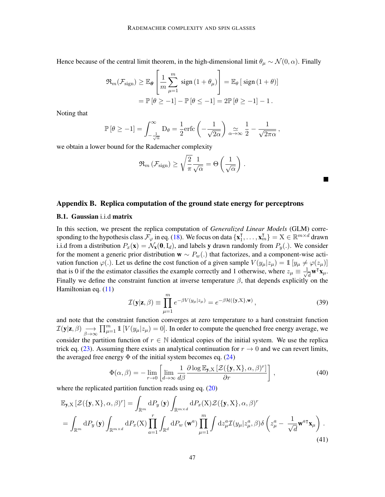Hence because of the central limit theorem, in the high-dimensional limit  $\theta_{\mu} \sim \mathcal{N}(0, \alpha)$ . Finally

$$
\mathfrak{R}_{m}(\mathcal{F}_{\text{sign}}) \geq \mathbb{E}_{\theta} \left[ \frac{1}{m} \sum_{\mu=1}^{m} \text{sign} \left( 1 + \theta_{\mu} \right) \right] = \mathbb{E}_{\theta} \left[ \text{sign} \left( 1 + \theta \right) \right]
$$

$$
= \mathbb{P} \left[ \theta \geq -1 \right] - \mathbb{P} \left[ \theta \leq -1 \right] = 2 \mathbb{P} \left[ \theta \geq -1 \right] - 1.
$$

Noting that

$$
\mathbb{P}\left[\theta \ge -1\right] = \int_{-\frac{1}{\sqrt{\alpha}}}^{\infty} D_{\theta} = \frac{1}{2} \text{erfc}\left(-\frac{1}{\sqrt{2\alpha}}\right) \underset{\alpha \to \infty}{\approx} \frac{1}{2} - \frac{1}{\sqrt{2\pi\alpha}},
$$

we obtain a lower bound for the Rademacher complexity

$$
\Re_m \left( \mathcal{F}_{\text{sign}} \right) \ge \sqrt{\frac{2}{\pi}} \frac{1}{\sqrt{\alpha}} = \Theta \left( \frac{1}{\sqrt{\alpha}} \right) .
$$

# Appendix B. Replica computation of the ground state energy for perceptrons

### <span id="page-20-0"></span>B.1. Gaussian i.i.d matrix

In this section, we present the replica computation of *Generalized Linear Models* (GLM) corresponding to the hypothesis class  $\mathcal{F}_{\varphi}$  in eq. [\(18\)](#page-7-2). We focus on data  $\{x_1^T\}$  $\{\overline{X}_1, \ldots, \overline{X}_m\} = X \in \mathbb{R}^{m \times d}$  drawn i.i.d from a distribution  $P_x(\mathbf{x}) = \mathcal{N}_\mathbf{x}(\mathbf{0}, \mathbf{I}_d)$ , and labels y drawn randomly from  $P_y(.)$ . We consider for the moment a generic prior distribution  $\mathbf{w} \sim P_w(.)$  that factorizes, and a component-wise activation function  $\varphi(.)$ . Let us define the cost function of a given sample  $V(y_\mu|z_\mu) = \mathbb{1} [y_\mu \neq \varphi(z_\mu)]$ that is 0 if the the estimator classifies the example correctly and 1 otherwise, where  $z_{\mu} \equiv \frac{1}{\sqrt{2}}$  $\bar{d}$   $\mathbf{w}^{\mathsf{T}}\mathbf{x}_{\mu}$ . Finally we define the constraint function at inverse temperature  $\beta$ , that depends explicitly on the Hamiltonian eq. [\(11\)](#page-5-1)

<span id="page-20-2"></span>
$$
\mathcal{I}(\mathbf{y}|\mathbf{z}, \beta) \equiv \prod_{\mu=1}^{m} e^{-\beta V(y_{\mu}|z_{\mu})} = e^{-\beta \mathcal{H}(\{\mathbf{y}, \mathbf{X}\}, \mathbf{w})}, \qquad (39)
$$

<span id="page-20-1"></span>a sa

and note that the constraint function converges at zero temperature to a hard constraint function  $\mathcal{I}(\mathbf{y}|\mathbf{z}, \beta) \underset{\beta \rightarrow \infty}{\longrightarrow}$  $\prod_{\mu=1}^m \mathbb{1} \left[ V(y_\mu | z_\mu) = 0 \right]$ . In order to compute the quenched free energy average, we consider the partition function of  $r \in \mathbb{N}$  identical copies of the initial system. We use the replica trick eq. [\(23\)](#page-8-1). Assuming there exists an analytical continuation for  $r \to 0$  and we can revert limits, the averaged free energy  $\Phi$  of the initial system becomes eq. [\(24\)](#page-8-0)

$$
\Phi(\alpha, \beta) = -\lim_{r \to 0} \left[ \lim_{d \to \infty} \frac{1}{d\beta} \frac{\partial \log \mathbb{E}_{\mathbf{y}, X} \left[ \mathcal{Z}(\{\mathbf{y}, X\}, \alpha, \beta)^r \right]}{\partial r} \right],
$$
\n(40)

where the replicated partition function reads using eq.  $(20)$ 

$$
\mathbb{E}_{\mathbf{y},X} \left[ \mathcal{Z}(\{\mathbf{y},X\},\alpha,\beta)^r \right] = \int_{\mathbb{R}^m} dP_y(\mathbf{y}) \int_{\mathbb{R}^{m \times d}} dP_x(X) \mathcal{Z}(\{\mathbf{y},X\},\alpha,\beta)^r
$$
  
\n
$$
= \int_{\mathbb{R}^m} dP_y(\mathbf{y}) \int_{\mathbb{R}^{m \times d}} dP_x(X) \prod_{a=1}^r \int_{\mathbb{R}^d} dP_w(\mathbf{w}^a) \prod_{\mu=1}^m \int dz_\mu^a \mathcal{I}(y_\mu | z_\mu^a, \beta) \delta \left( z_\mu^a - \frac{1}{\sqrt{d}} \mathbf{w}^{a\dagger} \mathbf{x}_\mu \right). \tag{41}
$$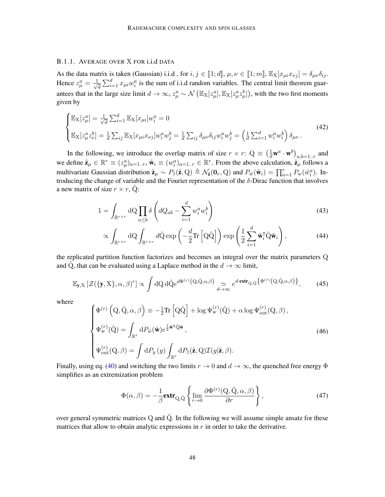# B.1.1. AVERAGE OVER X FOR i.i.d DATA

As the data matrix is taken (Gaussian) i.i.d, for  $i, j \in [1; d]$ ,  $\mu, \nu \in [1; m]$ ,  $\mathbb{E}_{X}[x_{\mu i}x_{\nu j}] = \delta_{\mu\nu}\delta_{ij}$ . Hence  $z_{\mu}^a = \frac{1}{\sqrt{2}}$  $\frac{d}{dt} \sum_{i=1}^d x_{\mu i} w_i^a$  is the sum of i.i.d random variables. The central limit theorem guarantees that in the large size limit  $d \to \infty$ ,  $z^a_\mu \sim \mathcal{N}\left(\mathbb{E}_X[z^a_\mu], \mathbb{E}_X[z^a_\mu z^b_\mu]\right)$ , with the two first moments given by

$$
\begin{cases}\n\mathbb{E}_{X}[z_{\mu}^{a}] = \frac{1}{\sqrt{d}} \sum_{i=1}^{d} \mathbb{E}_{X}[x_{\mu i}]w_{i}^{a} = 0 \\
\mathbb{E}_{X}[z_{\mu}^{a}z_{\nu}^{b}] = \frac{1}{d} \sum_{ij} \mathbb{E}_{X}[x_{\mu i}x_{\nu j}]w_{i}^{a}w_{j}^{b} = \frac{1}{d} \sum_{ij} \delta_{\mu\nu} \delta_{ij}w_{i}^{a}w_{j}^{b} = \left(\frac{1}{d} \sum_{i=1}^{d} w_{i}^{a}w_{i}^{b}\right) \delta_{\mu\nu}.\n\end{cases} (42)
$$

In the following, we introduce the overlap matrix of size  $r \times r$ :  $Q = \left(\frac{1}{d} \mathbf{w}^a \cdot \mathbf{w}^b\right)_{a,b=1..r}$  and we define  $\tilde{\mathbf{z}}_{\mu} \in \mathbb{R}^r \equiv (z_{\mu}^a)_{a=1..r}$ ,  $\tilde{\mathbf{w}}_i \equiv (w_i^a)_{a=1..r} \in \mathbb{R}^r$ . From the above calculation,  $\tilde{\mathbf{z}}_{\mu}$  follows a multivariate Gaussian distribution  $\tilde{\mathbf{z}}_{\mu} \sim P_{\tilde{z}}(\tilde{\mathbf{z}}, \mathbf{Q}) \triangleq \mathcal{N}_{\tilde{\mathbf{z}}}(\mathbf{0}_r, \mathbf{Q})$  and  $P_{\tilde{w}}(\tilde{\mathbf{w}}_i) = \prod_{a=1}^r P_w(\tilde{w}_i^a)$ . Introducing the change of variable and the Fourier representation of the  $\delta$ -Dirac function that involves a new matrix of size  $r \times r$ , Q:

$$
1 = \int_{\mathbb{R}^{r \times r}} dQ \prod_{a \le b} \delta \left( dQ_{ab} - \sum_{i=1}^{d} w_i^a w_i^b \right) \tag{43}
$$

$$
\propto \int_{\mathbb{R}^{r \times r}} dQ \int_{\mathbb{R}^{r \times r}} d\hat{Q} \exp\left(-\frac{d}{2} \text{Tr}\left[Q\hat{Q}\right]\right) \exp\left(\frac{1}{2} \sum_{i=1}^{d} \tilde{\mathbf{w}}_i^{\mathsf{T}} \hat{Q} \tilde{\mathbf{w}}_i\right),\tag{44}
$$

the replicated partition function factorizes and becomes an integral over the matrix parameters Q and  $\hat{Q}$ , that can be evaluated using a Laplace method in the  $d \rightarrow \infty$  limit,

$$
\mathbb{E}_{\mathbf{y}, \mathbf{X}} \left[ \mathcal{Z}(\{\mathbf{y}, \mathbf{X}\}, \alpha, \beta)^r \right] \propto \int d\mathbf{Q} \, d\hat{\mathbf{Q}} e^{d\Phi^{(r)}\left(\mathbf{Q}, \hat{\mathbf{Q}}, \alpha, \beta\right)} \underset{d \to \infty}{\simeq} e^{d \cdot \mathbf{extr}} \mathbf{Q}, \hat{\mathbf{Q}} \left\{ \Phi^{(r)}\left(\mathbf{Q}, \hat{\mathbf{Q}}, \alpha, \beta\right) \right\},\tag{45}
$$

where

<span id="page-21-1"></span>
$$
\begin{cases}\n\Phi^{(r)}\left(\mathbf{Q}, \hat{\mathbf{Q}}, \alpha, \beta\right) \equiv -\frac{1}{2} \text{Tr}\left[\mathbf{Q} \hat{\mathbf{Q}}\right] + \log \Psi_{\mathbf{w}}^{(r)}(\hat{\mathbf{Q}}) + \alpha \log \Psi_{\text{out}}^{(r)}(\mathbf{Q}, \beta), \\
\Psi_{\mathbf{w}}^{(r)}(\hat{\mathbf{Q}}) = \int_{\mathbb{R}^r} dP_{\tilde{w}}(\tilde{\mathbf{w}}) e^{\frac{1}{2}\tilde{\mathbf{w}}^\dagger \hat{\mathbf{Q}} \tilde{\mathbf{w}}}, \\
\Psi_{\text{out}}^{(r)}(\mathbf{Q}, \beta) = \int dP_y(y) \int_{\mathbb{R}^r} dP_{\tilde{z}}(\tilde{\mathbf{z}}, \mathbf{Q}) \mathcal{I}(y|\tilde{\mathbf{z}}, \beta).\n\end{cases} \tag{46}
$$

Finally, using eq. [\(40\)](#page-20-1) and switching the two limits  $r \to 0$  and  $d \to \infty$ , the quenched free energy  $\Phi$ simplifies as an extremization problem

<span id="page-21-0"></span>
$$
\Phi(\alpha,\beta) = -\frac{1}{\beta} \mathbf{extr}_{Q,\hat{Q}} \left\{ \lim_{r \to 0} \frac{\partial \Phi^{(r)}(Q,\hat{Q},\alpha,\beta)}{\partial r} \right\},\tag{47}
$$

over general symmetric matrices  $Q$  and  $\hat{Q}$ . In the following we will assume simple ansatz for these matrices that allow to obtain analytic expressions in  $r$  in order to take the derivative.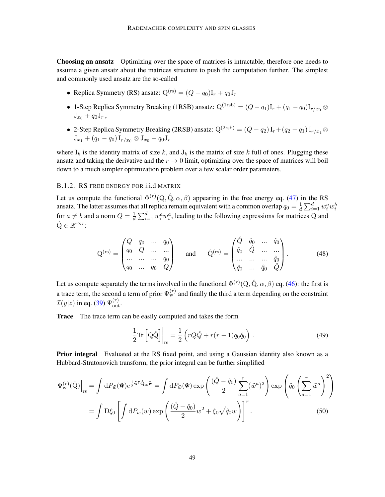Choosing an ansatz Optimizing over the space of matrices is intractable, therefore one needs to assume a given ansatz about the matrices structure to push the computation further. The simplest and commonly used ansatz are the so-called

- Replica Symmetry (RS) ansatz:  $Q^{(rs)} = (Q q_0)I_r + q_0J_r$
- 1-Step Replica Symmetry Breaking (1RSB) ansatz:  $Q^{(1rsb)} = (Q q_1)I_r + (q_1 q_0)I_{r/x_0} \otimes$  $J_{x_0} + q_0 J_r$ ,
- 2-Step Replica Symmetry Breaking (2RSB) ansatz:  $Q^{(2rsb)} = (Q q_2) I_r + (q_2 q_1) I_{r/x_1} \otimes$  $J_{x_1} + (q_1 - q_0) I_{r/x_0} \otimes J_{x_0} + q_0 J_r$

where  $I_k$  is the identity matrix of size k, and  $J_k$  is the matrix of size k full of ones. Plugging these ansatz and taking the derivative and the  $r \to 0$  limit, optimizing over the space of matrices will boil down to a much simpler optimization problem over a few scalar order parameters.

# <span id="page-22-0"></span>B.1.2. RS FREE ENERGY FOR i.i.d MATRIX

Let us compute the functional  $\Phi^{(r)}(Q, \hat{Q}, \alpha, \beta)$  appearing in the free energy eq. [\(47\)](#page-21-0) in the RS ansatz. The latter assumes that all replica remain equivalent with a common overlap  $q_0 = \frac{1}{d} \sum_{i=1}^d w_i^a w_i^b$ for  $a \neq b$  and a norm  $Q = \frac{1}{d} \sum_{i=1}^d w_i^a w_i^a$ , leading to the following expressions for matrices Q and  $\hat{\mathbf{Q}} \in \mathbb{R}^{r \times r}$ :

$$
Q^{(rs)} = \begin{pmatrix} Q & q_0 & \dots & q_0 \\ q_0 & Q & \dots & \dots \\ \dots & \dots & \dots & q_0 \\ q_0 & \dots & q_0 & Q \end{pmatrix} \quad \text{and} \quad \hat{Q}^{(rs)} = \begin{pmatrix} \hat{Q} & \hat{q}_0 & \dots & \hat{q}_0 \\ \hat{q}_0 & \hat{Q} & \dots & \dots \\ \dots & \dots & \dots & \hat{q}_0 \\ \hat{q}_0 & \dots & \hat{q}_0 & \hat{Q} \end{pmatrix} . \tag{48}
$$

Let us compute separately the terms involved in the functional  $\Phi^{(r)}(Q, \hat{Q}, \alpha, \beta)$  eq. [\(46\)](#page-21-1): the first is a trace term, the second a term of prior  $\Psi_{\rm w}^{(r)}$  and finally the third a term depending on the constraint  $\mathcal{I}(y|z)$  in eq. [\(39\)](#page-20-2)  $\Psi_{\text{out}}^{(r)}$ .

**Trace** The trace term can be easily computed and takes the form

$$
\frac{1}{2}\mathrm{Tr}\left[\mathrm{Q}\hat{\mathrm{Q}}\right]\bigg|_{\mathrm{rs}} = \frac{1}{2}\left(rQ\hat{Q} + r(r-1)q_0\hat{q}_0\right). \tag{49}
$$

**Prior integral** Evaluated at the RS fixed point, and using a Gaussian identity also known as a Hubbard-Stratonovich transform, the prior integral can be further simplified

$$
\Psi_{\mathbf{w}}^{(r)}(\hat{\mathbf{Q}})\Big|_{\text{rs}} = \int dP_{\tilde{w}}(\tilde{\mathbf{w}})e^{\frac{1}{2}\tilde{\mathbf{w}}^{\mathsf{T}}\hat{\mathbf{Q}}_{\text{rs}}\tilde{\mathbf{w}}} = \int dP_{\tilde{w}}(\tilde{\mathbf{w}})\exp\left(\frac{(\hat{Q}-\hat{q}_{0})}{2}\sum_{a=1}^{r}(\tilde{w}^{a})^{2}\right)\exp\left(\hat{q}_{0}\left(\sum_{a=1}^{r}\tilde{w}^{a}\right)^{2}\right)
$$

$$
= \int \mathcal{D}\xi_{0}\left[\int dP_{w}(w)\exp\left(\frac{(\hat{Q}-\hat{q}_{0})}{2}w^{2} + \xi_{0}\sqrt{\hat{q}_{0}}w\right)\right]^{r}.
$$
(50)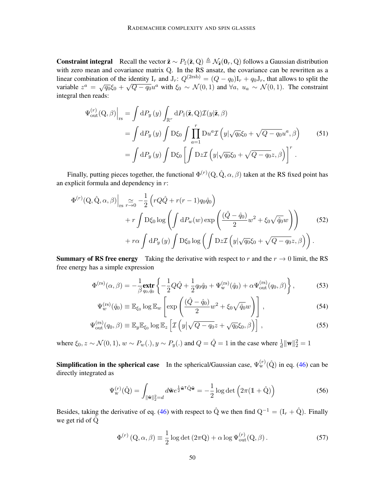**Constraint integral** Recall the vector  $\tilde{\mathbf{z}} \sim P_{\tilde{z}}(\tilde{\mathbf{z}}, Q) \triangleq \mathcal{N}_{\tilde{\mathbf{z}}}(0_r, Q)$  follows a Gaussian distribution with zero mean and covariance matrix Q. In the RS ansatz, the covariance can be rewritten as a linear combination of the identity I<sub>r</sub> and J<sub>r</sub>:  $Q^{(2rsb)} = (Q - q_0)I_r + q_0J_r$ , that allows to split the variable  $z^a = \sqrt{q_0} \xi_0 + \sqrt{Q - q_0} u^a$  with  $\xi_0 \sim \mathcal{N}(0, 1)$  and  $\forall a, u_a \sim \mathcal{N}(0, 1)$ . The constraint integral then reads:

$$
\Psi_{\text{out}}^{(r)}(Q,\beta)\Big|_{\text{rs}} = \int dP_y(y) \int_{\mathbb{R}^r} dP_{\tilde{z}}(\tilde{\mathbf{z}},Q) \mathcal{I}(y|\tilde{\mathbf{z}},\beta)
$$
  
\n
$$
= \int dP_y(y) \int D\xi_0 \int \prod_{a=1}^r Du^a \mathcal{I}(y|\sqrt{q_0}\xi_0 + \sqrt{Q - q_0}u^a,\beta)
$$
(51)  
\n
$$
= \int dP_y(y) \int D\xi_0 \left[ \int Dz \mathcal{I}(y|\sqrt{q_0}\xi_0 + \sqrt{Q - q_0}z,\beta) \right]^r.
$$

Finally, putting pieces together, the functional  $\Phi^{(r)}(Q, \hat{Q}, \alpha, \beta)$  taken at the RS fixed point has an explicit formula and dependency in  $r$ :

$$
\Phi^{(r)}(Q, \hat{Q}, \alpha, \beta)\Big|_{\text{rs}} \underset{r \to 0}{\simeq} -\frac{1}{2} \left( rQ\hat{Q} + r(r-1)q_0\hat{q}_0 \right) \n+ r \int D\xi_0 \log \left( \int dP_w(w) \exp \left( \frac{(\hat{Q} - \hat{q}_0)}{2} w^2 + \xi_0 \sqrt{\hat{q}_0} w \right) \right) \n+ r\alpha \int dP_y(y) \int D\xi_0 \log \left( \int Dz \mathcal{I} \left( y | \sqrt{q_0} \xi_0 + \sqrt{Q - q_0} z, \beta \right) \right).
$$
\n(52)

**Summary of RS free energy** Taking the derivative with respect to r and the  $r \rightarrow 0$  limit, the RS free energy has a simple expression

$$
\Phi^{(rs)}(\alpha,\beta) = -\frac{1}{\beta} \mathbf{extr} \left\{ -\frac{1}{2} Q \hat{Q} + \frac{1}{2} q_0 \hat{q}_0 + \Psi_{\mathbf{w}}^{(rs)}(\hat{q}_0) + \alpha \Psi_{\text{out}}^{(rs)}(q_0,\beta) \right\},\tag{53}
$$

<span id="page-23-0"></span>
$$
\Psi_w^{(\text{rs})}(\hat{q}_0) \equiv \mathbb{E}_{\xi_0} \log \mathbb{E}_w \left[ \exp \left( \frac{(\hat{Q} - \hat{q}_0)}{2} w^2 + \xi_0 \sqrt{\hat{q}_0} w \right) \right], \tag{54}
$$

$$
\Psi_{\text{out}}^{(\text{rs})}(q_0, \beta) \equiv \mathbb{E}_y \mathbb{E}_{\xi_0} \log \mathbb{E}_z \left[ \mathcal{I} \left( y \middle| \sqrt{Q - q_0} z + \sqrt{q_0} \xi_0, \beta \right) \right], \tag{55}
$$

where  $\xi_0$ ,  $z \sim \mathcal{N}(0, 1)$ ,  $w \sim P_w(.)$ ,  $y \sim P_y(.)$  and  $Q = \hat{Q} = 1$  in the case where  $\frac{1}{d} ||\mathbf{w}||_2^2 = 1$ 

**Simplification in the spherical case** In the spherical/Gaussian case,  $\Psi_{w}^{(r)}(\hat{Q})$  in eq. [\(46\)](#page-21-1) can be directly integrated as

<span id="page-23-1"></span>
$$
\Psi_{\mathbf{w}}^{(r)}(\hat{\mathbf{Q}}) = \int_{\|\tilde{\mathbf{w}}\|_2^2 = d} d\tilde{\mathbf{w}} e^{\frac{1}{2}\tilde{\mathbf{w}}^\mathsf{T} \hat{\mathbf{Q}} \tilde{\mathbf{w}}} = -\frac{1}{2} \log \det \left(2\pi (\mathbb{1} + \hat{\mathbf{Q}})\right)
$$
(56)

Besides, taking the derivative of eq. [\(46\)](#page-21-1) with respect to  $\hat{Q}$  we then find  $Q^{-1} = (I_r + \hat{Q})$ . Finally we get rid of  $\hat{Q}$ 

<span id="page-23-2"></span>
$$
\Phi^{(r)}\left(\mathbf{Q},\alpha,\beta\right) \equiv \frac{1}{2}\log\det\left(2\pi\mathbf{Q}\right) + \alpha\log\Psi_{\text{out}}^{(r)}(\mathbf{Q},\beta). \tag{57}
$$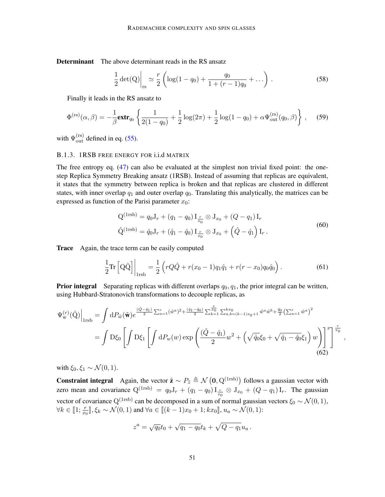Determinant The above determinant reads in the RS ansatz

<span id="page-24-2"></span>
$$
\frac{1}{2}\det(Q)\Big|_{rs} \simeq \frac{r}{2}\left(\log(1-q_0) + \frac{q_0}{1+(r-1)q_0} + \ldots\right).
$$
\n(58)

Finally it leads in the RS ansatz to

$$
\Phi^{(rs)}(\alpha,\beta) = -\frac{1}{\beta} \mathbf{extr}_{q_0} \left\{ \frac{1}{2(1-q_0)} + \frac{1}{2} \log(2\pi) + \frac{1}{2} \log(1-q_0) + \alpha \Psi_{out}^{(rs)}(q_0,\beta) \right\}, \quad (59)
$$

with  $\Psi_{\text{out}}^{(\text{rs})}$  defined in eq. [\(55\)](#page-23-1).

# B.1.3. 1RSB FREE ENERGY FOR i.i.d MATRIX

The free entropy eq. [\(47\)](#page-21-0) can also be evaluated at the simplest non trivial fixed point: the onestep Replica Symmetry Breaking ansatz (1RSB). Instead of assuming that replicas are equivalent, it states that the symmetry between replica is broken and that replicas are clustered in different states, with inner overlap  $q_1$  and outer overlap  $q_0$ . Translating this analytically, the matrices can be expressed as function of the Parisi parameter  $x_0$ :

$$
Q^{(1rsb)} = q_0 J_r + (q_1 - q_0) I_{\frac{r}{x_0}} \otimes J_{x_0} + (Q - q_1) I_r
$$
  

$$
\hat{Q}^{(1rsb)} = \hat{q}_0 J_r + (\hat{q}_1 - \hat{q}_0) I_{\frac{r}{x_0}} \otimes J_{x_0} + (\hat{Q} - \hat{q}_1) I_r.
$$
 (60)

Trace Again, the trace term can be easily computed

<span id="page-24-0"></span>
$$
\frac{1}{2} \text{Tr} \left[ \text{Q} \hat{\text{Q}} \right] \bigg|_{1 \text{rsb}} = \frac{1}{2} \left( rQ \hat{Q} + r(x_0 - 1) q_1 \hat{q}_1 + r(r - x_0) q_0 \hat{q}_0 \right). \tag{61}
$$

<span id="page-24-1"></span>,

**Prior integral** Separating replicas with different overlaps  $q_0, q_1$ , the prior integral can be written, using Hubbard-Stratonovich transformations to decouple replicas, as

$$
\Psi_{\mathbf{w}}^{(r)}(\hat{\mathbf{Q}})\Big|_{1\text{rsb}} = \int dP_{\tilde{w}}(\tilde{\mathbf{w}}) e^{\frac{(\hat{Q}-\hat{q}_1)}{2}\sum_{a=1}^r (\tilde{w}^a)^2 + \frac{(\hat{q}_1 - \hat{q}_0)}{2}\sum_{k=1}^r \sum_{a,b=(k-1)x_0+1}^{kx_0} \tilde{w}^a \tilde{w}^b + \frac{\hat{q}_0}{2} \left(\sum_{a=1}^r \tilde{w}^a\right)^2}
$$
\n
$$
= \int \mathcal{D}\xi_0 \left[ \int \mathcal{D}\xi_1 \left[ \int dP_w(w) \exp\left(\frac{(\hat{Q}-\hat{q}_1)}{2} w^2 + \left(\sqrt{\hat{q}_0}\xi_0 + \sqrt{\hat{q}_1 - \hat{q}_0}\xi_1\right) w\right) \right]^x \right]^{\frac{r}{a_0}} \tag{62}
$$

with  $\xi_0, \xi_1 \sim \mathcal{N}(0, 1)$ .

**Constraint integral** Again, the vector  $\tilde{z} \sim P_{\tilde{z}} \triangleq \mathcal{N}(0, Q^{(1rsb)})$  follows a gaussian vector with zero mean and covariance  $Q^{(1rsb)} = q_0 J_r + (q_1 - q_0) I_{\frac{r}{x_0}} \otimes J_{x_0} + (Q - q_1) I_r$ . The gaussian vector of covariance Q<sup>(1rsb)</sup> can be decomposed in a sum of normal gaussian vectors  $\xi_0 \sim \mathcal{N}(0, 1)$ ,  $\forall k \in [1; \frac{r}{x_0}], \xi_k \sim \mathcal{N}(0, 1)$  and  $\forall a \in [(k-1)x_0 + 1; kx_0], u_a \sim \mathcal{N}(0, 1)$ :

$$
z^{a} = \sqrt{q_0}t_0 + \sqrt{q_1 - q_0}t_k + \sqrt{Q - q_1}u_a.
$$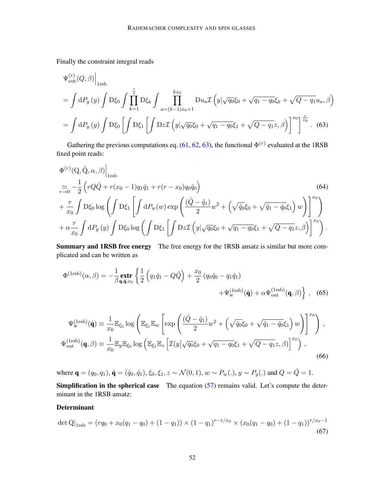Finally the constraint integral reads

<span id="page-25-1"></span>
$$
\Psi_{\text{out}}^{(r)}(Q,\beta)\Big|_{1\text{rsb}}
$$
\n
$$
= \int dP_y(y) \int D\xi_0 \int \prod_{k=1}^{\frac{r}{x}} D\xi_k \int \prod_{a=(k-1)x_0+1}^{kx_0} Du_a \mathcal{I}\left(y|\sqrt{q_0}\xi_0 + \sqrt{q_1 - q_0}\xi_k + \sqrt{Q - q_1}u_a, \beta\right)
$$
\n
$$
= \int dP_y(y) \int D\xi_0 \left[ \int D\xi_1 \left[ \int Dz \mathcal{I}\left(y|\sqrt{q_0}\xi_0 + \sqrt{q_1 - q_0}\xi_1 + \sqrt{Q - q_1}z, \beta\right) \right]^{x_0} \right]^{\frac{r}{x_0}}. \tag{63}
$$

Gathering the previous computations eq. [\(61,](#page-24-0) [62,](#page-24-1) [63\)](#page-25-1), the functional  $\Phi^{(r)}$  evaluated at the 1RSB fixed point reads:

$$
\Phi^{(r)}(Q, \hat{Q}, \alpha, \beta)\Big|_{1rsb} \tag{64}
$$
\n
$$
\frac{1}{r \to 0} - \frac{1}{2} \left( r Q \hat{Q} + r(x_0 - 1) q_1 \hat{q}_1 + r(r - x_0) q_0 \hat{q}_0 \right)
$$
\n
$$
+ \frac{r}{x_0} \int D\xi_0 \log \left( \int D\xi_1 \left[ \int dP_w(w) \exp \left( \frac{(\hat{Q} - \hat{q}_1)}{2} w^2 + \left( \sqrt{\hat{q}_0} \xi_0 + \sqrt{\hat{q}_1 - \hat{q}_0} \xi_1 \right) w \right) \right]_{x_0}^{x_0} + \alpha \frac{r}{x_0} \int dP_y(y) \int D\xi_0 \log \left( \int D\xi_1 \left[ \int Dz \mathcal{I} \left( y | \sqrt{q_0} \xi_0 + \sqrt{q_1 - q_0} \xi_1 + \sqrt{Q - q_1} z, \beta \right) \right]_{x_0}^{x_0} \right).
$$

Summary and 1RSB free energy The free energy for the 1RSB ansatz is similar but more complicated and can be written as

<span id="page-25-0"></span>
$$
\Phi^{(\text{1rsb})}(\alpha,\beta) = -\frac{1}{\beta} \underset{\mathbf{q},\hat{\mathbf{q}},x_0}{\text{extr}} \left\{ \frac{1}{2} \left( q_1 \hat{q}_1 - Q \hat{Q} \right) + \frac{x_0}{2} \left( q_0 \hat{q}_0 - q_1 \hat{q}_1 \right) + \Psi_{\text{w}}^{(\text{1rsb})}(\hat{\mathbf{q}}) + \alpha \Psi_{\text{out}}^{(\text{1rsb})}(\mathbf{q},\beta) \right\}, \quad (65)
$$

$$
\Psi_{\mathbf{w}}^{(\text{1rsb})}(\hat{\mathbf{q}}) \equiv \frac{1}{x_0} \mathbb{E}_{\xi_0} \log \left( \mathbb{E}_{\xi_1} \mathbb{E}_{w} \left[ \exp \left( \frac{(\hat{Q} - \hat{q}_1)}{2} w^2 + \left( \sqrt{\hat{q}_0} \xi_0 + \sqrt{\hat{q}_1 - \hat{q}_0} \xi_1 \right) w \right) \right]^{x_0} \right),
$$
  

$$
\Psi_{\text{out}}^{(\text{1rsb})}(\mathbf{q}, \beta) \equiv \frac{1}{x_0} \mathbb{E}_{y} \mathbb{E}_{\xi_0} \log \left( \mathbb{E}_{\xi_1} \mathbb{E}_{z} \left[ \mathcal{I}(y | \sqrt{q_0} \xi_0 + \sqrt{q_1 - q_0} \xi_1 + \sqrt{Q - q_1} z, \beta) \right]^{x_0} \right),
$$
(66)

where  $\mathbf{q} = (q_0, q_1), \hat{\mathbf{q}} = (\hat{q}_0, \hat{q}_1), \xi_0, \xi_1, z \sim \mathcal{N}(0, 1), w \sim P_w(.), y \sim P_y(.)$  and  $Q = \hat{Q} = 1$ .

**Simplification in the spherical case** The equation  $(57)$  remains valid. Let's compute the determinant in the 1RSB ansatz:

# Determinant

$$
\det Q|_{1rsb} = (rq_0 + x_0(q_1 - q_0) + (1 - q_1)) \times (1 - q_1)^{r - r/x_0} \times (x_0(q_1 - q_0) + (1 - q_1))^{r/x_0 - 1}
$$
\n(67)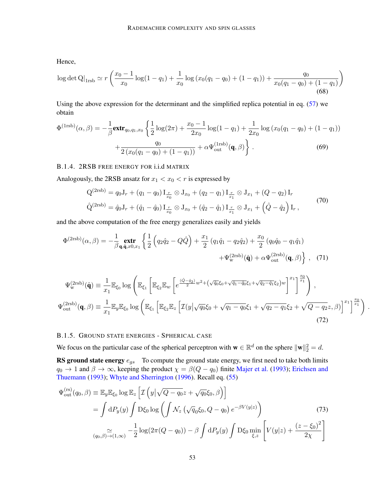Hence,

$$
\log \det Q|_{1rsb} \simeq r\left(\frac{x_0 - 1}{x_0}\log(1 - q_1) + \frac{1}{x_0}\log\left(x_0(q_1 - q_0) + (1 - q_1)\right) + \frac{q_0}{x_0(q_1 - q_0) + (1 - q_1)}\right)
$$
\n(68)

Using the above expression for the determinant and the simplified replica potential in eq. [\(57\)](#page-23-2) we obtain

$$
\Phi^{(1\text{rsb})}(\alpha,\beta) = -\frac{1}{\beta} \mathbf{extr}_{q_0,q_1,x_0} \left\{ \frac{1}{2} \log(2\pi) + \frac{x_0 - 1}{2x_0} \log(1 - q_1) + \frac{1}{2x_0} \log(x_0(q_1 - q_0) + (1 - q_1)) + \frac{q_0}{2(x_0(q_1 - q_0) + (1 - q_1))} + \alpha \Psi_{\text{out}}^{(1\text{rsb})}(\mathbf{q}, \beta) \right\}.
$$
\n(69)

### B.1.4. 2RSB FREE ENERGY FOR i.i.d MATRIX

Analogously, the 2RSB ansatz for  $x_1 < x_0 < r$  is expressed by

<span id="page-26-1"></span>
$$
Q^{(2rsb)} = q_0 J_r + (q_1 - q_0) I_{\frac{r}{x_0}} \otimes J_{x_0} + (q_2 - q_1) I_{\frac{r}{x_1}} \otimes J_{x_1} + (Q - q_2) I_r
$$
  

$$
\hat{Q}^{(2rsb)} = \hat{q}_0 J_r + (\hat{q}_1 - \hat{q}_0) I_{\frac{r}{x_0}} \otimes J_{x_0} + (\hat{q}_2 - \hat{q}_1) I_{\frac{r}{x_1}} \otimes J_{x_1} + (\hat{Q} - \hat{q}_2) I_r,
$$
\n(70)

and the above computation of the free energy generalizes easily and yields

$$
\Phi^{(\text{2rsb})}(\alpha,\beta) = -\frac{1}{\beta} \underset{\mathbf{q},\hat{\mathbf{q}},x0,x_1}{\text{extr}} \left\{ \frac{1}{2} \left( q_2 \hat{q}_2 - Q \hat{Q} \right) + \frac{x_1}{2} \left( q_1 \hat{q}_1 - q_2 \hat{q}_2 \right) + \frac{x_0}{2} \left( q_0 \hat{q}_0 - q_1 \hat{q}_1 \right) + \Psi_{\text{w}}^{(\text{2rsb})}(\hat{\mathbf{q}}) + \alpha \Psi_{\text{out}}^{(\text{2rsb})}(\mathbf{q},\beta) \right\} , \quad (71)
$$

$$
\Psi_{\mathbf{w}}^{(2rsb)}(\hat{\mathbf{q}}) \equiv \frac{1}{x_1} \mathbb{E}_{\xi_0} \log \left( \mathbb{E}_{\xi_1} \left[ \mathbb{E}_{\xi_2} \mathbb{E}_{w} \left[ e^{\frac{(\hat{Q} - \hat{q}_2)}{2} w^2 + (\sqrt{\hat{q}_0} \xi_0 + \sqrt{\hat{q}_1 - \hat{q}_0} \xi_1 + \sqrt{\hat{q}_2 - \hat{q}_1} \xi_2) w} \right]^{x_1} \right]^{x_0} \right),
$$
  

$$
\Psi_{\text{out}}^{(2rsb)}(\mathbf{q}, \beta) \equiv \frac{1}{x_1} \mathbb{E}_{y} \mathbb{E}_{\xi_0} \log \left( \mathbb{E}_{\xi_1} \left[ \mathbb{E}_{\xi_2} \mathbb{E}_{z} \left[ \mathcal{I}(y | \sqrt{q_0} \xi_0 + \sqrt{q_1 - q_0} \xi_1 + \sqrt{q_2 - q_1} \xi_2 + \sqrt{Q - q_2} z, \beta \right) \right]^{x_1} \right]^{x_0} \right).
$$
\n(72)

# <span id="page-26-0"></span>B.1.5. GROUND STATE ENERGIES - SPHERICAL CASE

We focus on the particular case of the spherical perceptron with  $\mathbf{w} \in \mathbb{R}^d$  on the sphere  $\|\mathbf{w}\|_2^2 = d$ .

**RS ground state energy**  $e_{gs}$  To compute the ground state energy, we first need to take both limits  $q_0 \to 1$  and  $\beta \to \infty$ , keeping the product  $\chi = \beta(Q - q_0)$  finite [Majer et al.](#page-17-11) [\(1993\)](#page-17-11); [Erichsen and](#page-16-10) [Thuemann](#page-16-10) [\(1993\)](#page-16-10); [Whyte and Sherrington](#page-18-9) [\(1996\)](#page-18-9). Recall eq. [\(55\)](#page-23-1)

$$
\Psi_{\text{out}}^{(\text{rs})}(q_0, \beta) \equiv \mathbb{E}_{y} \mathbb{E}_{\xi_0} \log \mathbb{E}_{z} \left[ \mathcal{I} \left( y \middle| \sqrt{Q - q_0} z + \sqrt{q_0} \xi_0, \beta \right) \right]
$$
\n
$$
= \int dP_y(y) \int D\xi_0 \log \left( \int \mathcal{N}_z \left( \sqrt{q_0} \xi_0, Q - q_0 \right) e^{-\beta V(y|z)} \right)
$$
\n
$$
\lim_{(q_0, \beta) \to (1, \infty)} -\frac{1}{2} \log(2\pi (Q - q_0)) - \beta \int dP_y(y) \int D\xi_0 \min_{\xi, z} \left[ V(y|z) + \frac{(z - \xi_0)^2}{2\chi} \right]
$$
\n(73)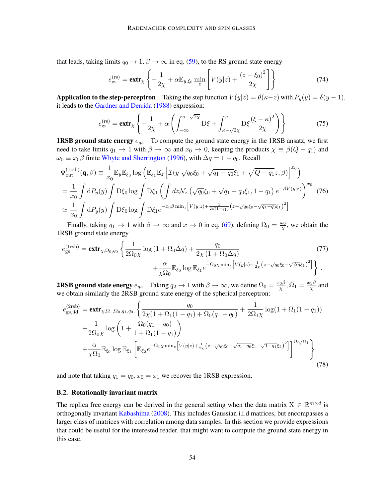that leads, taking limits  $q_0 \to 1$ ,  $\beta \to \infty$  in eq. [\(59\)](#page-24-2), to the RS ground state energy

$$
e_{\rm gs}^{(\rm rs)} = \mathbf{extr}_{\chi} \left\{ -\frac{1}{2\chi} + \alpha \mathbb{E}_{y,\xi_0} \min_z \left[ V(y|z) + \frac{(z-\xi_0)^2}{2\chi} \right] \right\} \tag{74}
$$

Application to the step-perceptron Taking the step function  $V(y|z) = \theta(\kappa - z)$  with  $P_y(y) = \delta(y - 1)$ , it leads to the [Gardner and Derrida](#page-16-2) [\(1988\)](#page-16-2) expression:

$$
e_{\text{gs}}^{(\text{rs})} = \text{extr}_{\chi} \left\{ -\frac{1}{2\chi} + \alpha \left( \int_{-\infty}^{\kappa - \sqrt{2\chi}} \mathcal{D}\xi + \int_{\kappa - \sqrt{2\chi}}^{\kappa} \mathcal{D}\xi \frac{(\xi - \kappa)^2}{2\chi} \right) \right\} \tag{75}
$$

**1RSB ground state energy**  $e_{qs}$  To compute the ground state energy in the 1RSB ansatz, we first need to take limits  $q_1 \to 1$  with  $\beta \to \infty$  and  $x_0 \to 0$ , keeping the products  $\chi \equiv \beta(Q - q_1)$  and  $\omega_0 \equiv x_0 \beta$  finite [Whyte and Sherrington](#page-18-9) [\(1996\)](#page-18-9), with  $\Delta q = 1 - q_0$ . Recall

$$
\Psi_{\text{out}}^{(\text{1rsb})}(\mathbf{q}, \beta) \equiv \frac{1}{x_0} \mathbb{E}_y \mathbb{E}_{\xi_0} \log \left( \mathbb{E}_{\xi_1} \mathbb{E}_z \left[ \mathcal{I}(y | \sqrt{q_0} \xi_0 + \sqrt{q_1 - q_0} \xi_1 + \sqrt{Q - q_1} z, \beta) \right]^{x_0} \right)
$$
\n
$$
= \frac{1}{x_0} \int dP_y(y) \int D\xi_0 \log \int D\xi_1 \left( \int dz \mathcal{N}_z \left( \sqrt{q_0} \xi_0 + \sqrt{q_1 - q_0} \xi_1, 1 - q_1 \right) e^{-\beta V(y|z)} \right)^{x_0} (76)
$$
\n
$$
\simeq \frac{1}{x_0} \int dP_y(y) \int D\xi_0 \log \int D\xi_1 e^{-x_0 \beta \min_z \left[ V(y|z) + \frac{1}{2\beta(1 - q_1)} \left( z - \sqrt{q_0} \xi_0 - \sqrt{q_1 - q_0} \xi_1 \right)^2 \right]}
$$

Finally, taking  $q_1 \to 1$  with  $\beta \to \infty$  and  $x \to 0$  in eq. [\(69\)](#page-26-1), defining  $\Omega_0 = \frac{\omega_0}{\chi}$ , we obtain the 1RSB ground state energy

$$
e_{\text{gs}}^{(\text{1rsb})} = \text{extr}_{\chi, \Omega_0, q_0} \left\{ \frac{1}{2\Omega_0 \chi} \log \left( 1 + \Omega_0 \Delta q \right) + \frac{q_0}{2\chi \left( 1 + \Omega_0 \Delta q \right)} \right. \\
\left. + \frac{\alpha}{\chi \Omega_0} \mathbb{E}_{\xi_0} \log \mathbb{E}_{\xi_1} e^{-\Omega_0 \chi \min_z \left[ V(y|z) + \frac{1}{2\chi} \left( z - \sqrt{q_0} \xi_0 - \sqrt{\Delta q} \xi_1 \right)^2 \right]} \right\}.
$$
\n(77)

**2RSB ground state energy**  $e_{gs}$  Taking  $q_2 \to 1$  with  $\beta \to \infty$ , we define  $\Omega_0 = \frac{x_0 \beta}{\chi}$  $\frac{{\rm d} \beta}{\chi}, \Omega_1 = \frac{x_1 \beta}{\chi}$  $\frac{1}{\chi}$  and we obtain similarly the 2RSB ground state energy of the spherical perceptron:

$$
e_{\text{gs,iid}}^{(2\text{rsb})} = \text{extr}_{\chi, \Omega_1, \Omega_0, q_1, q_0,} \left\{ \frac{q_0}{2\chi(1 + \Omega_1(1 - q_1) + \Omega_0(q_1 - q_0)} + \frac{1}{2\Omega_1\chi} \log(1 + \Omega_1(1 - q_1)) + \frac{1}{2\Omega_0\chi} \log\left(1 + \frac{\Omega_0(q_1 - q_0)}{1 + \Omega_1(1 - q_1)}\right) + \frac{\alpha}{\chi\Omega_0} \mathbb{E}_{\xi_0} \log \mathbb{E}_{\xi_1} \left[ \mathbb{E}_{\xi_2} e^{-\Omega_1\chi \min_z \left[V(y|z) + \frac{1}{2\chi}(z - \sqrt{q_0}\xi_0 - \sqrt{q_1 - q_0}\xi_1 - \sqrt{1 - q_1}\xi_2)^2\right]} \right]^{\Omega_0/\Omega_1} \right\}
$$
(78)

and note that taking  $q_1 = q_0$ ,  $x_0 = x_1$  we recover the 1RSB expression.

### <span id="page-27-0"></span>B.2. Rotationally invariant matrix

The replica free energy can be derived in the general setting when the data matrix  $X \in \mathbb{R}^{m \times d}$  is orthogonally invariant [Kabashima](#page-17-14) [\(2008\)](#page-17-14). This includes Gaussian i.i.d matrices, but encompasses a larger class of matrices with correlation among data samples. In this section we provide expressions that could be useful for the interested reader, that might want to compute the ground state energy in this case.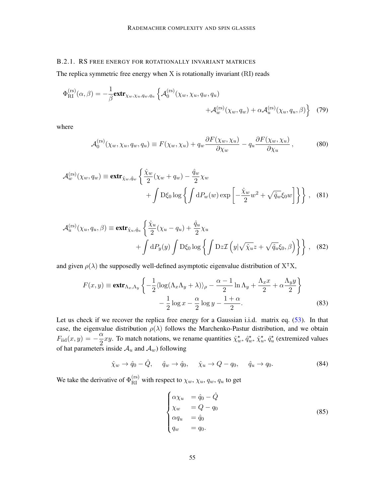### B.2.1. RS FREE ENERGY FOR ROTATIONALLY INVARIANT MATRICES

The replica symmetric free energy when X is rotationally invariant (RI) reads

$$
\Phi_{\text{RI}}^{(\text{rs})}(\alpha, \beta) = -\frac{1}{\beta} \text{extr}_{\chi_w, \chi_u, q_w, q_u} \left\{ \mathcal{A}_0^{(\text{rs})}(\chi_w, \chi_u, q_w, q_u) + \mathcal{A}_w^{(\text{rs})}(\chi_w, q_w) + \alpha \mathcal{A}_u^{(\text{rs})}(\chi_u, q_u, \beta) \right\} \tag{79}
$$

where

$$
\mathcal{A}_0^{(\text{rs})}(\chi_w, \chi_u, q_w, q_u) \equiv F(\chi_w, \chi_u) + q_w \frac{\partial F(\chi_w, \chi_u)}{\partial \chi_w} - q_u \frac{\partial F(\chi_w, \chi_u)}{\partial \chi_u}, \tag{80}
$$

$$
\mathcal{A}_{w}^{(\text{rs})}(\chi_{w}, q_{w}) \equiv \text{extr}_{\hat{\chi}_{w}, \hat{q}_{w}} \left\{ \frac{\hat{\chi}_{w}}{2} (\chi_{w} + q_{w}) - \frac{\hat{q}_{w}}{2} \chi_{w} + \int \mathcal{D}\xi_{0} \log \left\{ \int dP_{w}(w) \exp \left[ -\frac{\hat{\chi}_{w}}{2} w^{2} + \sqrt{\hat{q}_{w}} \xi_{0} w \right] \right\} \right\}, \quad (81)
$$

$$
\mathcal{A}_{u}^{(\text{rs})}(\chi_{u}, q_{u}, \beta) \equiv \text{extr}_{\hat{\chi}_{u}, \hat{q}_{u}} \left\{ \frac{\hat{\chi}_{u}}{2}(\chi_{u} - q_{u}) + \frac{\hat{q}_{u}}{2} \chi_{u} + \int dP_{y}(y) \int D\xi_{0} \log \left\{ \int Dz \mathcal{I} \left( y | \sqrt{\hat{\chi}_{u}} z + \sqrt{\hat{q}_{u}} \xi_{0}, \beta \right) \right\} \right\}, \quad (82)
$$

and given  $\rho(\lambda)$  the supposedly well-defined asymptotic eigenvalue distribution of X<sup>T</sup>X,

$$
F(x,y) \equiv \mathbf{extr}_{\Lambda_x,\Lambda_y} \left\{ -\frac{1}{2} \langle \log(\Lambda_x \Lambda_y + \lambda) \rangle_\rho - \frac{\alpha - 1}{2} \ln \Lambda_y + \frac{\Lambda_x x}{2} + \alpha \frac{\Lambda_y y}{2} \right\}
$$

$$
- \frac{1}{2} \log x - \frac{\alpha}{2} \log y - \frac{1 + \alpha}{2}.
$$
(83)

Let us check if we recover the replica free energy for a Gaussian i.i.d. matrix eq. [\(53\)](#page-23-0). In that case, the eigenvalue distribution  $\rho(\lambda)$  follows the Marchenko-Pastur distribution, and we obtain  $F_{\text{iid}}(x, y) = -\frac{\alpha}{2}$  $\frac{\alpha}{2}xy$ . To match notations, we rename quantities  $\hat{\chi}_w^*, \hat{q}_w^*, \hat{\chi}_u^*, \hat{q}_u^*$  (extremized values of hat parameters inside  $A_u$  and  $A_w$ ) following

$$
\hat{\chi}_w \to \hat{q}_0 - \hat{Q}, \quad \hat{q}_w \to \hat{q}_0, \quad \hat{\chi}_u \to Q - q_0, \quad \hat{q}_u \to q_0.
$$
\n(84)

We take the derivative of  $\Phi_{\text{RI}}^{(\text{rs})}$  with respect to  $\chi_w, \chi_u, q_w, q_u$  to get

$$
\begin{cases}\n\alpha \chi_u &= \hat{q}_0 - \hat{Q} \\
\chi_w &= Q - q_0 \\
\alpha q_u &= \hat{q}_0 \\
q_w &= q_0.\n\end{cases}
$$
\n(85)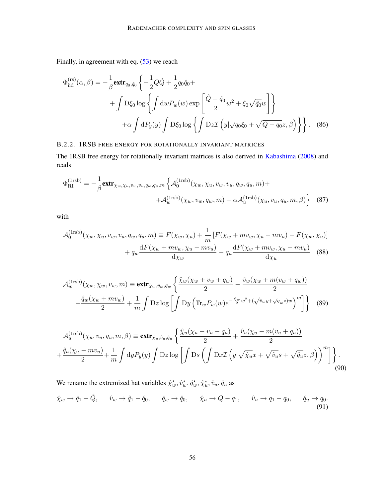Finally, in agreement with eq. [\(53\)](#page-23-0) we reach

$$
\Phi_{\text{iid}}^{(\text{rs})}(\alpha, \beta) = -\frac{1}{\beta} \mathbf{extr}_{q_0, \hat{q}_0} \left\{ -\frac{1}{2} Q \hat{Q} + \frac{1}{2} q_0 \hat{q}_0 + \right.\n+ \int D\xi_0 \log \left\{ \int \mathrm{d}w P_w(w) \exp \left[ \frac{\hat{Q} - \hat{q}_0}{2} w^2 + \xi_0 \sqrt{\hat{q}_0} w \right] \right\}\n+ \alpha \int \mathrm{d}P_y(y) \int D\xi_0 \log \left\{ \int Dz \mathcal{I} \left( y | \sqrt{q_0} \xi_0 + \sqrt{Q - q_0} z, \beta \right) \right\}.
$$
\n(86)

### B.2.2. 1RSB FREE ENERGY FOR ROTATIONALLY INVARIANT MATRICES

The 1RSB free energy for rotationally invariant matrices is also derived in [Kabashima](#page-17-14) [\(2008\)](#page-17-14) and reads

$$
\Phi_{\text{RI}}^{(1\text{rsb})} = -\frac{1}{\beta} \mathbf{extr}_{\chi_w, \chi_u, v_w, v_u, q_w, q_u, m} \left\{ \mathcal{A}_0^{(1\text{rsb})}(\chi_w, \chi_u, v_w, v_u, q_w, q_u, m) + \right. \\
\left. + \mathcal{A}_w^{(1\text{rsb})}(\chi_w, v_w, q_w, m) + \alpha \mathcal{A}_u^{(1\text{rsb})}(\chi_u, v_u, q_u, m, \beta) \right\} \tag{87}
$$

with

$$
\mathcal{A}_0^{(\text{1rsb})}(\chi_w, \chi_u, v_w, v_u, q_w, q_u, m) \equiv F(\chi_w, \chi_u) + \frac{1}{m} \left[ F(\chi_w + mv_w, \chi_u - mv_u) - F(\chi_w, \chi_u) \right] + q_w \frac{\mathrm{d}F(\chi_w + mv_w, \chi_u - mv_u)}{\mathrm{d}\chi_w} - q_u \frac{\mathrm{d}F(\chi_w + mv_w, \chi_u - mv_u)}{\mathrm{d}\chi_u}
$$
(88)

$$
\mathcal{A}_{w}^{(\text{1rsb})}(\chi_{w}, \chi_{w}, v_{w}, m) \equiv \text{extr}_{\hat{\chi}_{w}, \hat{v}_{w}, \hat{q}_{w}} \left\{ \frac{\hat{\chi}_{w}(\chi_{w} + v_{w} + q_{w})}{2} - \frac{\hat{v}_{w}(\chi_{w} + m(v_{w} + q_{w}))}{2} - \frac{\hat{q}_{w}(\chi_{w} + m v_{w})}{2} + \frac{1}{m} \int \mathcal{D}z \log \left[ \int \mathcal{D}y \left( \text{Tr}_{w} P_{w}(w) e^{-\frac{\hat{\chi}_{w}}{2} w^{2} + (\sqrt{\hat{v}_{w} y + \sqrt{q}_{w} z}) w} \right)^{m} \right] \right\}
$$
(89)

$$
\mathcal{A}_{u}^{(\text{1rsb})}(\chi_u, v_u, q_u, m, \beta) \equiv \text{extr}_{\hat{\chi}_u, \hat{v}_u, \hat{q}_u} \left\{ \frac{\hat{\chi}_u(\chi_u - v_u - q_u)}{2} + \frac{\hat{v}_u(\chi_u - m(v_u + q_u))}{2} + \frac{\hat{q}_u(\chi_u - mv_u)}{2} + \frac{\hat{q}_u(\chi_u - mv_u)}{2} + \frac{1}{m} \int \mathrm{d}y P_y(y) \int \mathrm{D}z \log \left[ \int \mathrm{D}s \left( \int \mathrm{D}x \mathcal{I} \left( y | \sqrt{\hat{\chi}_u} x + \sqrt{\hat{v}_u} s + \sqrt{\hat{q}_u} z, \beta \right) \right)^m \right] \right\}.
$$
\n(90)

(91)

We rename the extremized hat variables  $\hat{\chi}_w^*, \hat{v}_w^*, \hat{q}_w^*, \hat{\chi}_u^*, \hat{v}_u, \hat{q}_u$  as  $\hat{\chi}_w \rightarrow \hat{q}_1 - \hat{Q}, \quad \hat{v}_w \rightarrow \hat{q}_1 - \hat{q}_0, \quad \hat{q}_w \rightarrow \hat{q}_0, \quad \hat{\chi}_u \rightarrow Q - q_1, \quad \hat{v}_u \rightarrow q_1 - q_0, \quad \hat{q}_u \rightarrow q_0.$